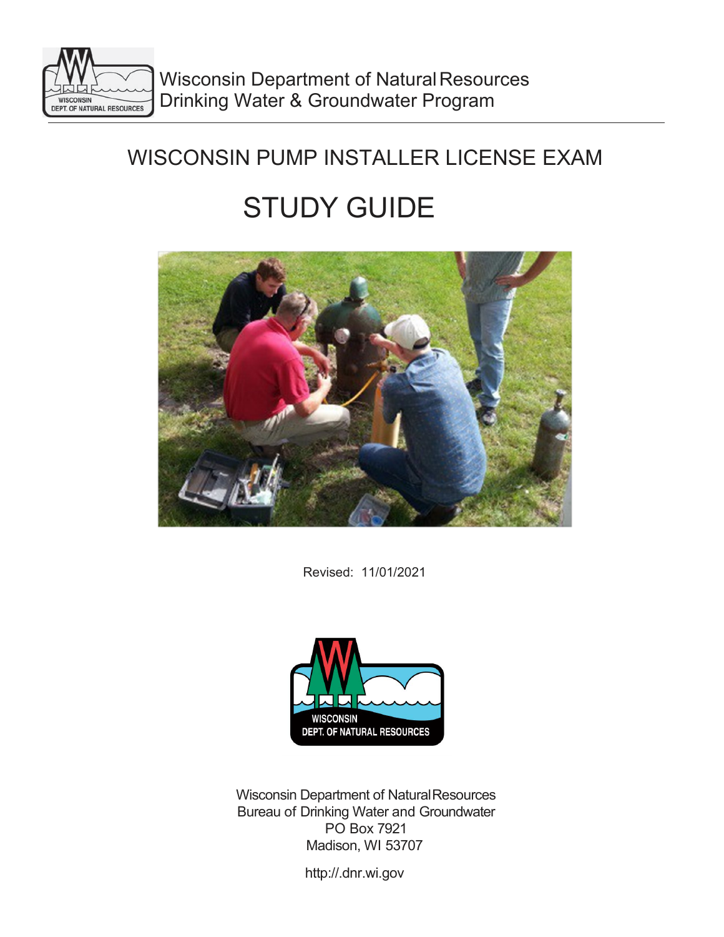

# WISCONSIN PUMP INSTALLER LICENSE EXAM

# STUDY GUIDE



Revised: 11/01/2021



Wisconsin Department of NaturalResources Bureau of Drinking Water and Groundwater PO Box 7921 Madison, WI 5370[7](http://.dnr.wi.gov/)

[http://.dnr.wi.gov](http://.dnr.wi.gov/)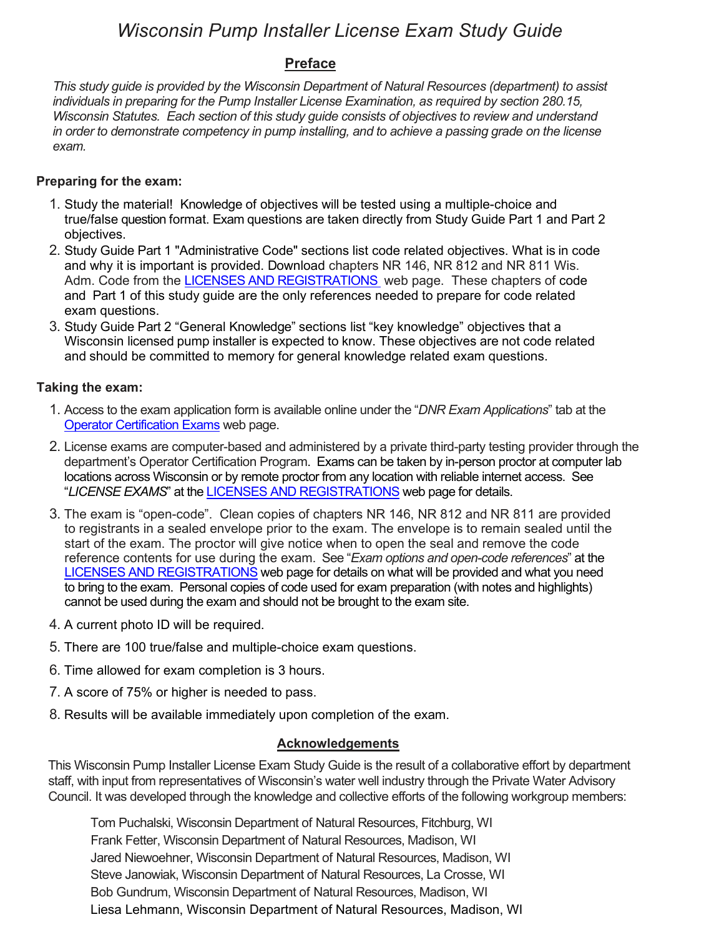# *Wisconsin Pump Installer License Exam Study Guide*

# **Preface**

*This study guide is provided by the Wisconsin Department of Natural Resources (department) to assist individuals in preparing for the Pump Installer License Examination, as required by section 280.15, Wisconsin Statutes. Each section of this study guide consists of objectives to review and understand in order to demonstrate competency in pump installing, and to achieve a passing grade on the license exam.* 

# **Preparing for the exam:**

- 1. Study the material! Knowledge of objectives will be tested using a multiple-choice and true/false question format. Exam questions are taken directly from Study Guide Part 1 and Part 2 objectives.
- 2. Study Guide Part 1 "Administrative Code" sections list code related objectives. What is in code and why it is important is provided. Download chapters NR 146, NR 812 and NR 811 Wis. Adm. Code from the [LICENSES AND REGISTRATIONS](https://dnr.wisconsin.gov/topic/Wells/licenses.html) web page. These chapters of code and Part 1 of this study guide are the only references needed to prepare for code related exam questions.
- 3. Study Guide Part 2 "General Knowledge" sections list "key knowledge" objectives that a Wisconsin licensed pump installer is expected to know. These objectives are not code related and should be committed to memory for general knowledge related exam questions.

# **Taking the exam:**

- 1. Access to the exam application form is available online under the "*DNR Exam Applications*" tab at the [Operator Certification Exams](https://dnr.wisconsin.gov/topic/opcert/exams.html) web page.
- 2. License exams are computer-based and administered by a private third-party testing provider through the department's Operator Certification Program. Exams can be taken by in-person proctor at computer lab locations across Wisconsin or by remote proctor from any location with reliable internet access. See "*LICENSE EXAMS*" at the [LICENSES AND REGISTRATIONS](https://dnr.wisconsin.gov/topic/Wells/licenses.html) web page for details.
- 3. The exam is "open-code". Clean copies of chapters NR 146, NR 812 and NR 811 are provided to registrants in a sealed envelope prior to the exam. The envelope is to remain sealed until the start of the exam. The proctor will give notice when to open the seal and remove the code reference contents for use during the exam. See "*Exam options and open-code references*" at the [LICENSES AND REGISTRATIONS](https://dnr.wisconsin.gov/topic/Wells/licenses.html) web page for details on what will be provided and what you need to bring to the exam. Personal copies of code used for exam preparation (with notes and highlights) cannot be used during the exam and should not be brought to the exam site.
- 4. A current photo ID will be required.
- 5. There are 100 true/false and multiple-choice exam questions.
- 6. Time allowed for exam completion is 3 hours.
- 7. A score of 75% or higher is needed to pass.
- 8. Results will be available immediately upon completion of the exam.

# **Acknowledgements**

This Wisconsin Pump Installer License Exam Study Guide is the result of a collaborative effort by department staff, with input from representatives of Wisconsin's water well industry through the Private Water Advisory Council. It was developed through the knowledge and collective efforts of the following workgroup members:

Tom Puchalski, Wisconsin Department of Natural Resources, Fitchburg, WI Frank Fetter, Wisconsin Department of Natural Resources, Madison, WI Jared Niewoehner, Wisconsin Department of Natural Resources, Madison, WI Steve Janowiak, Wisconsin Department of Natural Resources, La Crosse, WI Bob Gundrum, Wisconsin Department of Natural Resources, Madison, WI Liesa Lehmann, Wisconsin Department of Natural Resources, Madison, WI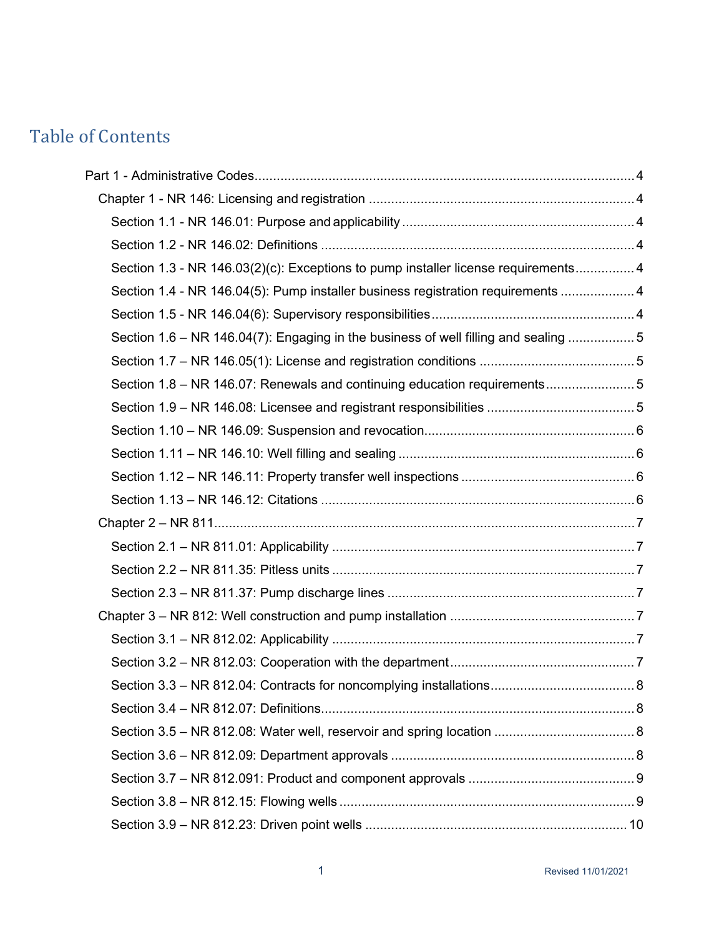# Table of Contents

| Section 1.3 - NR 146.03(2)(c): Exceptions to pump installer license requirements 4  |  |
|-------------------------------------------------------------------------------------|--|
| Section 1.4 - NR 146.04(5): Pump installer business registration requirements  4    |  |
|                                                                                     |  |
| Section 1.6 - NR 146.04(7): Engaging in the business of well filling and sealing  5 |  |
|                                                                                     |  |
| Section 1.8 – NR 146.07: Renewals and continuing education requirements             |  |
|                                                                                     |  |
|                                                                                     |  |
|                                                                                     |  |
|                                                                                     |  |
|                                                                                     |  |
|                                                                                     |  |
|                                                                                     |  |
|                                                                                     |  |
|                                                                                     |  |
|                                                                                     |  |
|                                                                                     |  |
|                                                                                     |  |
|                                                                                     |  |
|                                                                                     |  |
|                                                                                     |  |
|                                                                                     |  |
|                                                                                     |  |
|                                                                                     |  |
|                                                                                     |  |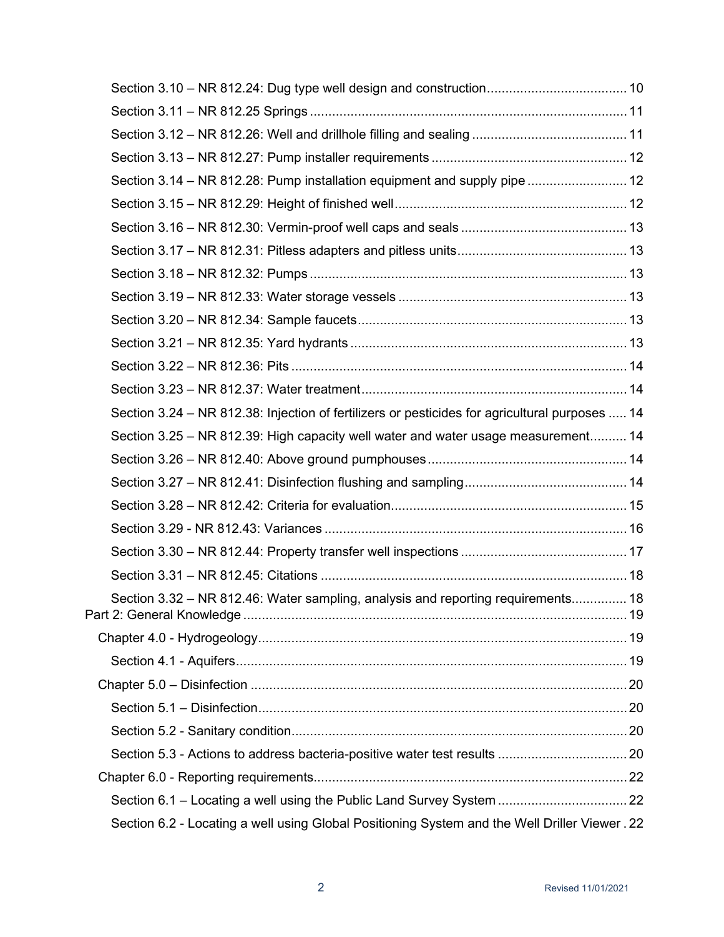| Section 3.14 - NR 812.28: Pump installation equipment and supply pipe  12                      |  |
|------------------------------------------------------------------------------------------------|--|
|                                                                                                |  |
|                                                                                                |  |
|                                                                                                |  |
|                                                                                                |  |
|                                                                                                |  |
|                                                                                                |  |
|                                                                                                |  |
|                                                                                                |  |
|                                                                                                |  |
| Section 3.24 – NR 812.38: Injection of fertilizers or pesticides for agricultural purposes  14 |  |
| Section 3.25 – NR 812.39: High capacity well water and water usage measurement 14              |  |
|                                                                                                |  |
|                                                                                                |  |
|                                                                                                |  |
|                                                                                                |  |
|                                                                                                |  |
|                                                                                                |  |
| Section 3.32 - NR 812.46: Water sampling, analysis and reporting requirements 18               |  |
|                                                                                                |  |
|                                                                                                |  |
|                                                                                                |  |
|                                                                                                |  |
|                                                                                                |  |
|                                                                                                |  |
|                                                                                                |  |
| Section 6.1 - Locating a well using the Public Land Survey System  22                          |  |
| Section 6.2 - Locating a well using Global Positioning System and the Well Driller Viewer. 22  |  |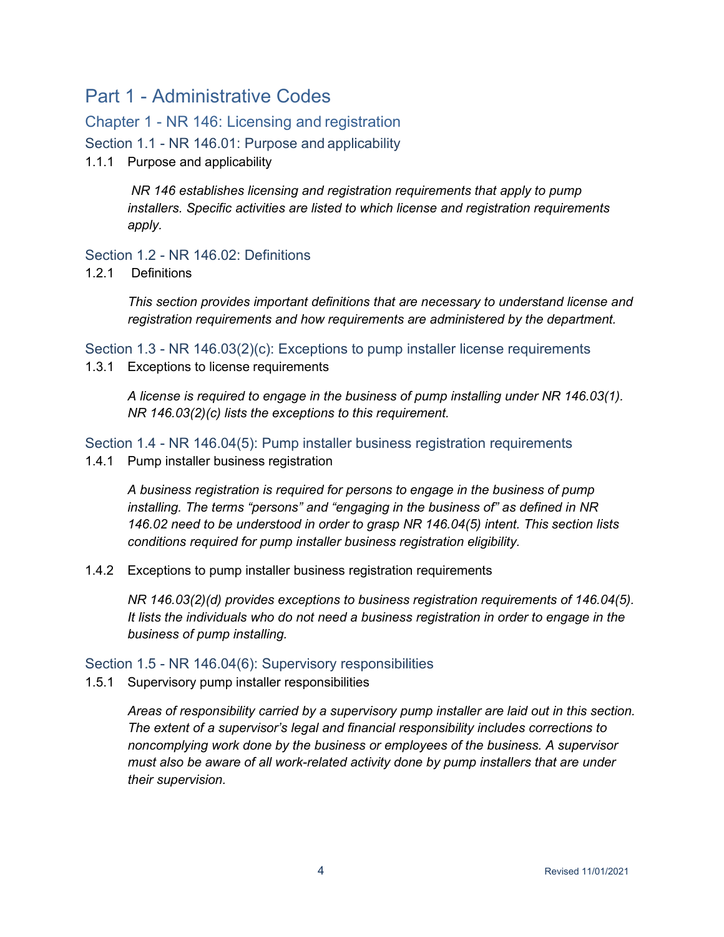# <span id="page-5-0"></span>Part 1 - Administrative Codes

# <span id="page-5-1"></span>Chapter 1 - NR 146: Licensing and registration

<span id="page-5-2"></span>Section 1.1 - NR 146.01: Purpose and applicability

1.1.1 Purpose and applicability

*NR 146 establishes licensing and registration requirements that apply to pump installers. Specific activities are listed to which license and registration requirements apply.*

# <span id="page-5-3"></span>Section 1.2 - NR 146.02: Definitions

1.2.1 Definitions

*This section provides important definitions that are necessary to understand license and registration requirements and how requirements are administered by the department.*

<span id="page-5-4"></span>Section 1.3 - NR 146.03(2)(c): Exceptions to pump installer license requirements 1.3.1 Exceptions to license requirements

*A license is required to engage in the business of pump installing under NR 146.03(1). NR 146.03(2)(c) lists the exceptions to this requirement.*

<span id="page-5-5"></span>Section 1.4 - NR 146.04(5): Pump installer business registration requirements 1.4.1 Pump installer business registration

*A business registration is required for persons to engage in the business of pump installing. The terms "persons" and "engaging in the business of" as defined in NR 146.02 need to be understood in order to grasp NR 146.04(5) intent. This section lists conditions required for pump installer business registration eligibility.*

1.4.2 Exceptions to pump installer business registration requirements

*NR 146.03(2)(d) provides exceptions to business registration requirements of 146.04(5). It lists the individuals who do not need a business registration in order to engage in the business of pump installing.*

# <span id="page-5-6"></span>Section 1.5 - NR 146.04(6): Supervisory responsibilities

1.5.1 Supervisory pump installer responsibilities

*Areas of responsibility carried by a supervisory pump installer are laid out in this section. The extent of a supervisor's legal and financial responsibility includes corrections to noncomplying work done by the business or employees of the business. A supervisor must also be aware of all work-related activity done by pump installers that are under their supervision.*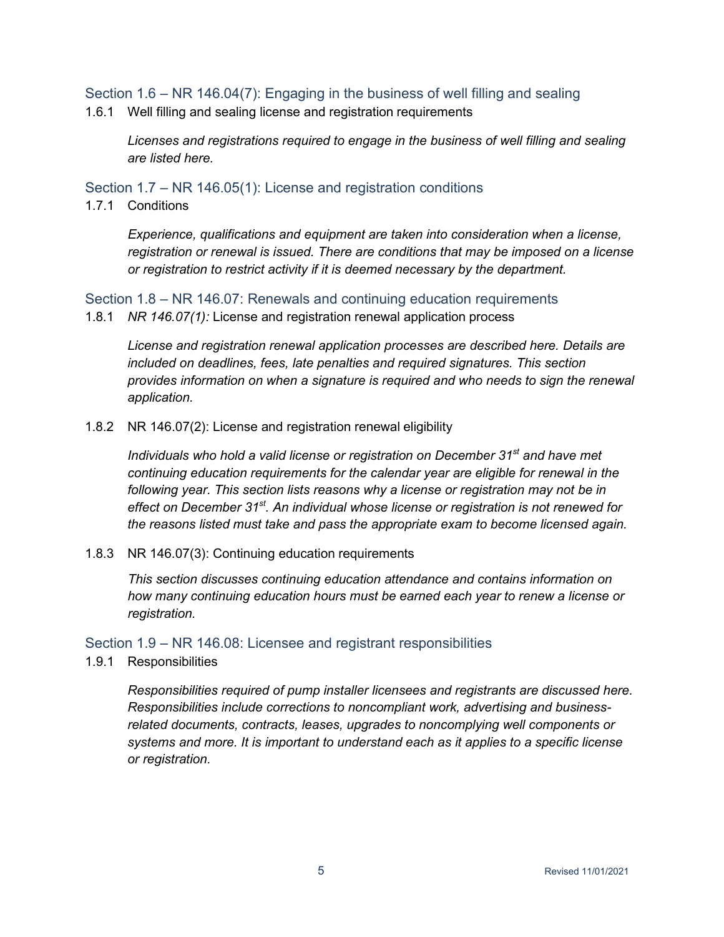<span id="page-6-0"></span>Section 1.6 – NR 146.04(7): Engaging in the business of well filling and sealing

1.6.1 Well filling and sealing license and registration requirements

*Licenses and registrations required to engage in the business of well filling and sealing are listed here.*

<span id="page-6-1"></span>Section 1.7 – NR 146.05(1): License and registration conditions

1.7.1 Conditions

*Experience, qualifications and equipment are taken into consideration when a license, registration or renewal is issued. There are conditions that may be imposed on a license or registration to restrict activity if it is deemed necessary by the department.*

<span id="page-6-2"></span>Section 1.8 – NR 146.07: Renewals and continuing education requirements

1.8.1 *NR 146.07(1):* License and registration renewal application process

*License and registration renewal application processes are described here. Details are included on deadlines, fees, late penalties and required signatures. This section provides information on when a signature is required and who needs to sign the renewal application.*

1.8.2 NR 146.07(2): License and registration renewal eligibility

*Individuals who hold a valid license or registration on December 31st and have met continuing education requirements for the calendar year are eligible for renewal in the following year. This section lists reasons why a license or registration may not be in effect on December 31st. An individual whose license or registration is not renewed for the reasons listed must take and pass the appropriate exam to become licensed again.*

1.8.3 NR 146.07(3): Continuing education requirements

*This section discusses continuing education attendance and contains information on how many continuing education hours must be earned each year to renew a license or registration.*

<span id="page-6-3"></span>Section 1.9 – NR 146.08: Licensee and registrant responsibilities

1.9.1 Responsibilities

*Responsibilities required of pump installer licensees and registrants are discussed here. Responsibilities include corrections to noncompliant work, advertising and businessrelated documents, contracts, leases, upgrades to noncomplying well components or systems and more. It is important to understand each as it applies to a specific license or registration.*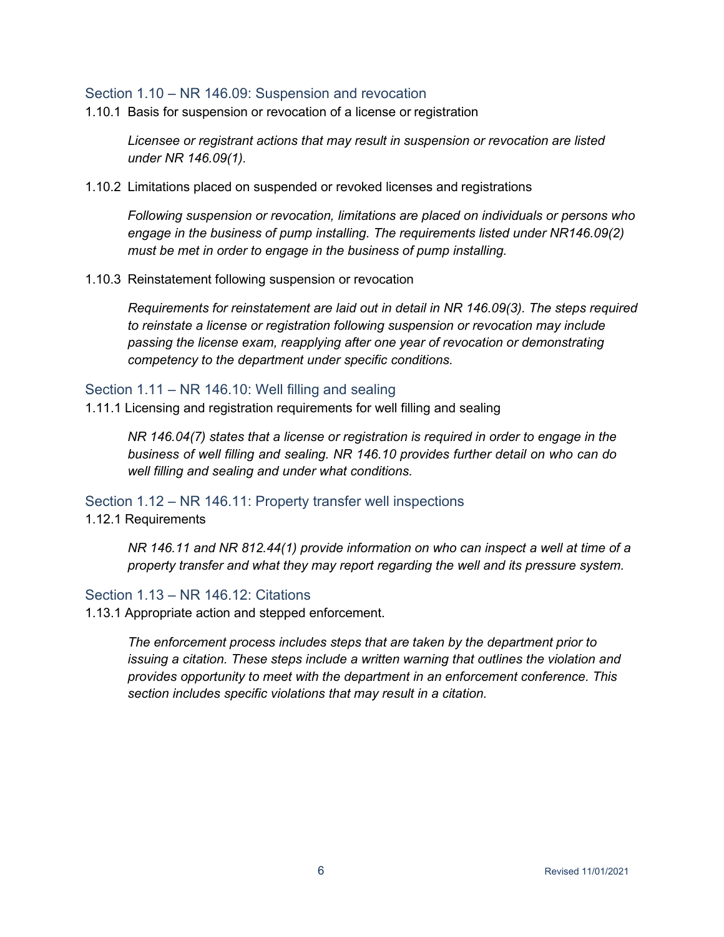#### <span id="page-7-0"></span>Section 1.10 – NR 146.09: Suspension and revocation

1.10.1 Basis for suspension or revocation of a license or registration

*Licensee or registrant actions that may result in suspension or revocation are listed under NR 146.09(1).*

1.10.2 Limitations placed on suspended or revoked licenses and registrations

*Following suspension or revocation, limitations are placed on individuals or persons who*  engage in the business of pump installing. The requirements listed under NR146.09(2) *must be met in order to engage in the business of pump installing.*

1.10.3 Reinstatement following suspension or revocation

*Requirements for reinstatement are laid out in detail in NR 146.09(3). The steps required to reinstate a license or registration following suspension or revocation may include passing the license exam, reapplying after one year of revocation or demonstrating competency to the department under specific conditions.*

#### <span id="page-7-1"></span>Section 1.11 – NR 146.10: Well filling and sealing

1.11.1 Licensing and registration requirements for well filling and sealing

*NR 146.04(7) states that a license or registration is required in order to engage in the business of well filling and sealing. NR 146.10 provides further detail on who can do well filling and sealing and under what conditions.*

<span id="page-7-2"></span>Section 1.12 – NR 146.11: Property transfer well inspections

1.12.1 Requirements

*NR 146.11 and NR 812.44(1) provide information on who can inspect a well at time of a property transfer and what they may report regarding the well and its pressure system.*

# <span id="page-7-3"></span>Section 1.13 – NR 146.12: Citations

1.13.1 Appropriate action and stepped enforcement.

*The enforcement process includes steps that are taken by the department prior to issuing a citation. These steps include a written warning that outlines the violation and provides opportunity to meet with the department in an enforcement conference. This section includes specific violations that may result in a citation.*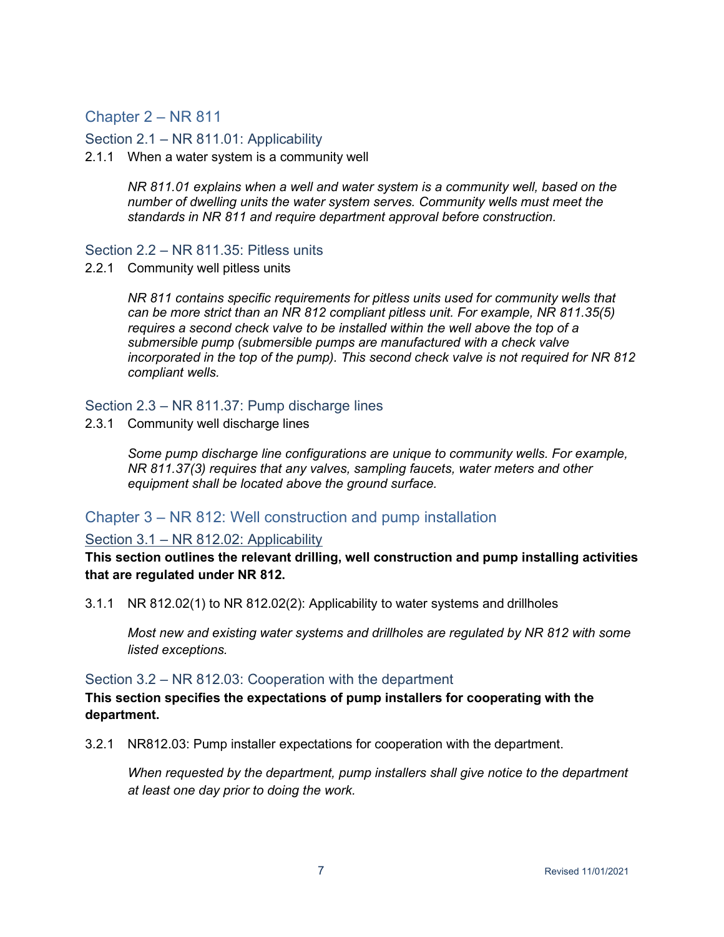# <span id="page-8-0"></span>Chapter 2 – NR 811

<span id="page-8-1"></span>Section 2.1 – NR 811.01: Applicability

2.1.1 When a water system is a community well

*NR 811.01 explains when a well and water system is a community well, based on the number of dwelling units the water system serves. Community wells must meet the standards in NR 811 and require department approval before construction.*

#### <span id="page-8-2"></span>Section 2.2 – NR 811.35: Pitless units

2.2.1 Community well pitless units

*NR 811 contains specific requirements for pitless units used for community wells that can be more strict than an NR 812 compliant pitless unit. For example, NR 811.35(5) requires a second check valve to be installed within the well above the top of a submersible pump (submersible pumps are manufactured with a check valve incorporated in the top of the pump). This second check valve is not required for NR 812 compliant wells.*

# <span id="page-8-3"></span>Section 2.3 – NR 811.37: Pump discharge lines

2.3.1 Community well discharge lines

*Some pump discharge line configurations are unique to community wells. For example, NR 811.37(3) requires that any valves, sampling faucets, water meters and other equipment shall be located above the ground surface.*

# <span id="page-8-4"></span>Chapter 3 – NR 812: Well construction and pump installation

# <span id="page-8-5"></span>Section 3.1 – NR 812.02: Applicability

**This section outlines the relevant drilling, well construction and pump installing activities that are regulated under NR 812.**

3.1.1 NR 812.02(1) to NR 812.02(2): Applicability to water systems and drillholes

*Most new and existing water systems and drillholes are regulated by NR 812 with some listed exceptions.*

#### <span id="page-8-6"></span>Section 3.2 – NR 812.03: Cooperation with the department

**This section specifies the expectations of pump installers for cooperating with the department.**

3.2.1 NR812.03: Pump installer expectations for cooperation with the department.

*When requested by the department, pump installers shall give notice to the department at least one day prior to doing the work.*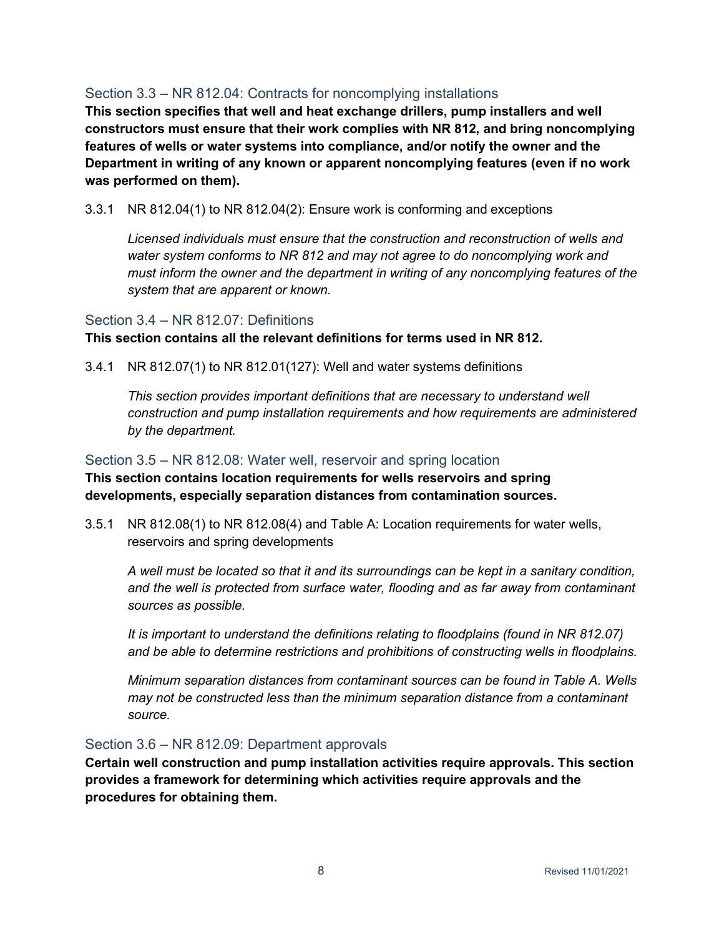# <span id="page-9-0"></span>Section 3.3 – NR 812.04: Contracts for noncomplying installations

**This section specifies that well and heat exchange drillers, pump installers and well constructors must ensure that their work complies with NR 812, and bring noncomplying features of wells or water systems into compliance, and/or notify the owner and the Department in writing of any known or apparent noncomplying features (even if no work was performed on them).**

3.3.1 NR 812.04(1) to NR 812.04(2): Ensure work is conforming and exceptions

*Licensed individuals must ensure that the construction and reconstruction of wells and water system conforms to NR 812 and may not agree to do noncomplying work and must inform the owner and the department in writing of any noncomplying features of the system that are apparent or known.*

# <span id="page-9-1"></span>Section 3.4 – NR 812.07: Definitions

**This section contains all the relevant definitions for terms used in NR 812.**

3.4.1 NR 812.07(1) to NR 812.01(127): Well and water systems definitions

*This section provides important definitions that are necessary to understand well construction and pump installation requirements and how requirements are administered by the department.*

# <span id="page-9-2"></span>Section 3.5 – NR 812.08: Water well, reservoir and spring location

**This section contains location requirements for wells reservoirs and spring developments, especially separation distances from contamination sources.**

3.5.1 NR 812.08(1) to NR 812.08(4) and Table A: Location requirements for water wells, reservoirs and spring developments

*A well must be located so that it and its surroundings can be kept in a sanitary condition, and the well is protected from surface water, flooding and as far away from contaminant sources as possible.*

*It is important to understand the definitions relating to floodplains (found in NR 812.07) and be able to determine restrictions and prohibitions of constructing wells in floodplains.*

*Minimum separation distances from contaminant sources can be found in Table A. Wells may not be constructed less than the minimum separation distance from a contaminant source.*

# <span id="page-9-3"></span>Section 3.6 – NR 812.09: Department approvals

**Certain well construction and pump installation activities require approvals. This section provides a framework for determining which activities require approvals and the procedures for obtaining them.**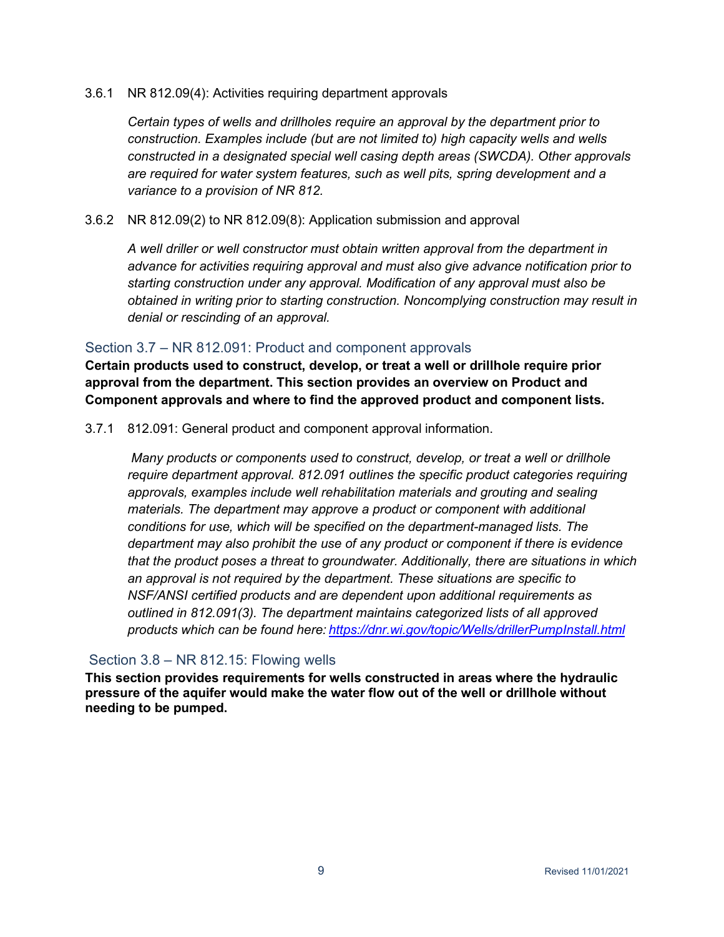#### 3.6.1 NR 812.09(4): Activities requiring department approvals

*Certain types of wells and drillholes require an approval by the department prior to construction. Examples include (but are not limited to) high capacity wells and wells constructed in a designated special well casing depth areas (SWCDA). Other approvals are required for water system features, such as well pits, spring development and a variance to a provision of NR 812.*

#### 3.6.2 NR 812.09(2) to NR 812.09(8): Application submission and approval

*A well driller or well constructor must obtain written approval from the department in advance for activities requiring approval and must also give advance notification prior to starting construction under any approval. Modification of any approval must also be obtained in writing prior to starting construction. Noncomplying construction may result in denial or rescinding of an approval.*

# <span id="page-10-0"></span>Section 3.7 – NR 812.091: Product and component approvals

**Certain products used to construct, develop, or treat a well or drillhole require prior approval from the department. This section provides an overview on Product and Component approvals and where to find the approved product and component lists.**

#### 3.7.1 812.091: General product and component approval information.

*Many products or components used to construct, develop, or treat a well or drillhole require department approval. 812.091 outlines the specific product categories requiring approvals, examples include well rehabilitation materials and grouting and sealing materials. The department may approve a product or component with additional conditions for use, which will be specified on the department-managed lists. The department may also prohibit the use of any product or component if there is evidence that the product poses a threat to groundwater. Additionally, there are situations in which an approval is not required by the department. These situations are specific to NSF/ANSI certified products and are dependent upon additional requirements as outlined in 812.091(3). The department maintains categorized lists of all approved products which can be found here: <https://dnr.wi.gov/topic/Wells/drillerPumpInstall.html>*

# <span id="page-10-1"></span>Section 3.8 – NR 812.15: Flowing wells

**This section provides requirements for wells constructed in areas where the hydraulic pressure of the aquifer would make the water flow out of the well or drillhole without needing to be pumped.**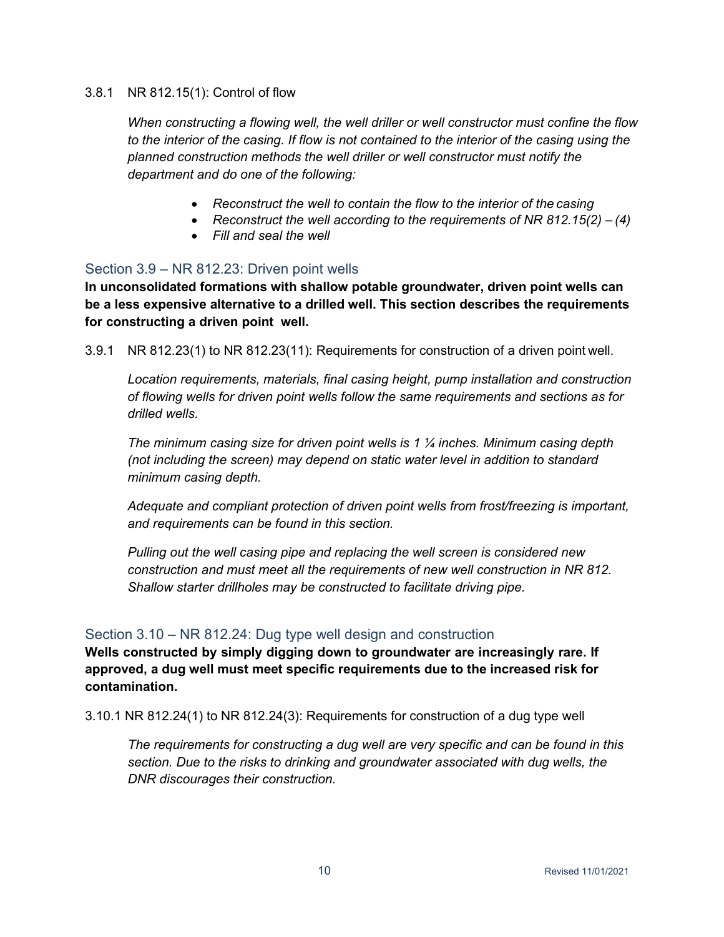#### 3.8.1 NR 812.15(1): Control of flow

*When constructing a flowing well, the well driller or well constructor must confine the flow to the interior of the casing. If flow is not contained to the interior of the casing using the planned construction methods the well driller or well constructor must notify the department and do one of the following:*

- *Reconstruct the well to contain the flow to the interior of the casing*
- *Reconstruct the well according to the requirements of NR 812.15(2) – (4)*
- *Fill and seal the well*

# <span id="page-11-0"></span>Section 3.9 – NR 812.23: Driven point wells

**In unconsolidated formations with shallow potable groundwater, driven point wells can be a less expensive alternative to a drilled well. This section describes the requirements for constructing a driven point well.**

3.9.1 NR 812.23(1) to NR 812.23(11): Requirements for construction of a driven point well.

*Location requirements, materials, final casing height, pump installation and construction of flowing wells for driven point wells follow the same requirements and sections as for drilled wells.*

*The minimum casing size for driven point wells is 1 ¼ inches. Minimum casing depth (not including the screen) may depend on static water level in addition to standard minimum casing depth.*

*Adequate and compliant protection of driven point wells from frost/freezing is important, and requirements can be found in this section.*

*Pulling out the well casing pipe and replacing the well screen is considered new construction and must meet all the requirements of new well construction in NR 812. Shallow starter drillholes may be constructed to facilitate driving pipe.*

# <span id="page-11-1"></span>Section 3.10 – NR 812.24: Dug type well design and construction

**Wells constructed by simply digging down to groundwater are increasingly rare. If approved, a dug well must meet specific requirements due to the increased risk for contamination.**

3.10.1 NR 812.24(1) to NR 812.24(3): Requirements for construction of a dug type well

*The requirements for constructing a dug well are very specific and can be found in this section. Due to the risks to drinking and groundwater associated with dug wells, the DNR discourages their construction.*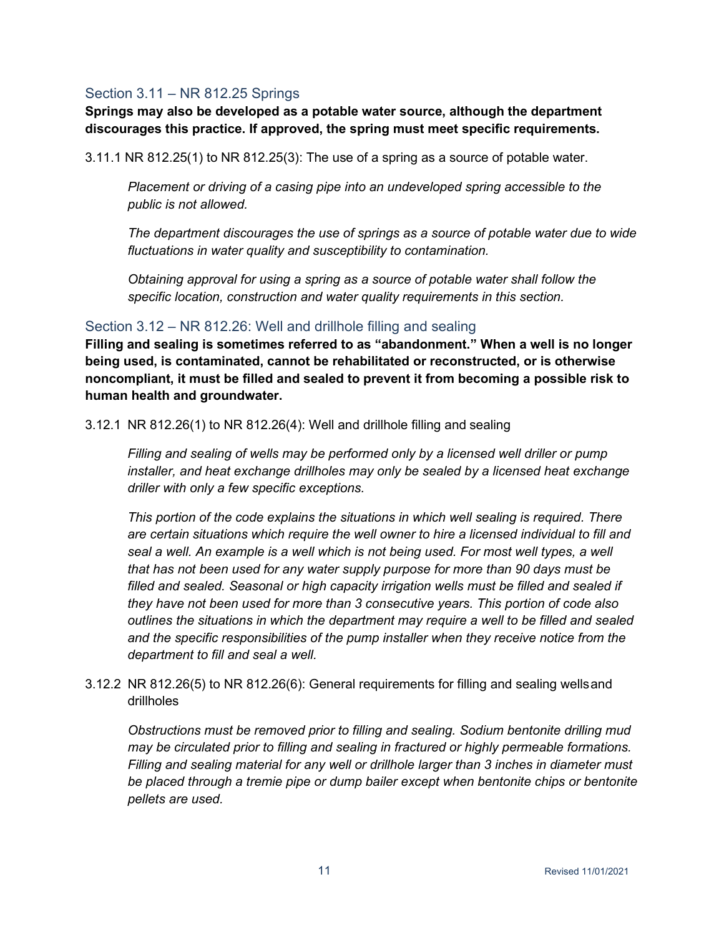# <span id="page-12-0"></span>Section 3.11 – NR 812.25 Springs

**Springs may also be developed as a potable water source, although the department discourages this practice. If approved, the spring must meet specific requirements.**

3.11.1 NR 812.25(1) to NR 812.25(3): The use of a spring as a source of potable water.

*Placement or driving of a casing pipe into an undeveloped spring accessible to the public is not allowed.*

*The department discourages the use of springs as a source of potable water due to wide fluctuations in water quality and susceptibility to contamination.*

*Obtaining approval for using a spring as a source of potable water shall follow the specific location, construction and water quality requirements in this section.*

# <span id="page-12-1"></span>Section 3.12 – NR 812.26: Well and drillhole filling and sealing

**Filling and sealing is sometimes referred to as "abandonment." When a well is no longer being used, is contaminated, cannot be rehabilitated or reconstructed, or is otherwise noncompliant, it must be filled and sealed to prevent it from becoming a possible risk to human health and groundwater.**

3.12.1 NR 812.26(1) to NR 812.26(4): Well and drillhole filling and sealing

*Filling and sealing of wells may be performed only by a licensed well driller or pump installer, and heat exchange drillholes may only be sealed by a licensed heat exchange driller with only a few specific exceptions.*

*This portion of the code explains the situations in which well sealing is required. There are certain situations which require the well owner to hire a licensed individual to fill and seal a well. An example is a well which is not being used. For most well types, a well that has not been used for any water supply purpose for more than 90 days must be filled and sealed. Seasonal or high capacity irrigation wells must be filled and sealed if they have not been used for more than 3 consecutive years. This portion of code also outlines the situations in which the department may require a well to be filled and sealed and the specific responsibilities of the pump installer when they receive notice from the department to fill and seal a well.*

3.12.2 NR 812.26(5) to NR 812.26(6): General requirements for filling and sealing wellsand drillholes

*Obstructions must be removed prior to filling and sealing. Sodium bentonite drilling mud may be circulated prior to filling and sealing in fractured or highly permeable formations. Filling and sealing material for any well or drillhole larger than 3 inches in diameter must be placed through a tremie pipe or dump bailer except when bentonite chips or bentonite pellets are used.*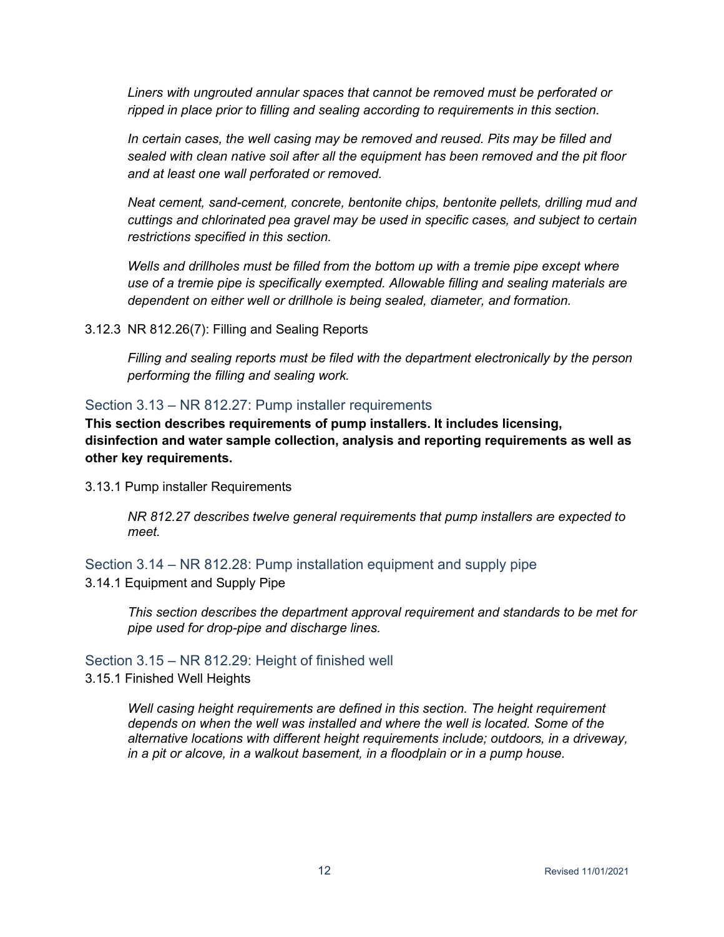*Liners with ungrouted annular spaces that cannot be removed must be perforated or ripped in place prior to filling and sealing according to requirements in this section.*

*In certain cases, the well casing may be removed and reused. Pits may be filled and sealed with clean native soil after all the equipment has been removed and the pit floor and at least one wall perforated or removed.*

*Neat cement, sand-cement, concrete, bentonite chips, bentonite pellets, drilling mud and cuttings and chlorinated pea gravel may be used in specific cases, and subject to certain restrictions specified in this section.*

*Wells and drillholes must be filled from the bottom up with a tremie pipe except where use of a tremie pipe is specifically exempted. Allowable filling and sealing materials are dependent on either well or drillhole is being sealed, diameter, and formation.*

3.12.3 NR 812.26(7): Filling and Sealing Reports

*Filling and sealing reports must be filed with the department electronically by the person performing the filling and sealing work.*

#### <span id="page-13-0"></span>Section 3.13 – NR 812.27: Pump installer requirements

**This section describes requirements of pump installers. It includes licensing, disinfection and water sample collection, analysis and reporting requirements as well as other key requirements.**

3.13.1 Pump installer Requirements

*NR 812.27 describes twelve general requirements that pump installers are expected to meet.*

<span id="page-13-1"></span>Section 3.14 – NR 812.28: Pump installation equipment and supply pipe 3.14.1 Equipment and Supply Pipe

*This section describes the department approval requirement and standards to be met for pipe used for drop-pipe and discharge lines.*

# <span id="page-13-2"></span>Section 3.15 – NR 812.29: Height of finished well

3.15.1 Finished Well Heights

*Well casing height requirements are defined in this section. The height requirement depends on when the well was installed and where the well is located. Some of the alternative locations with different height requirements include; outdoors, in a driveway, in a pit or alcove, in a walkout basement, in a floodplain or in a pump house.*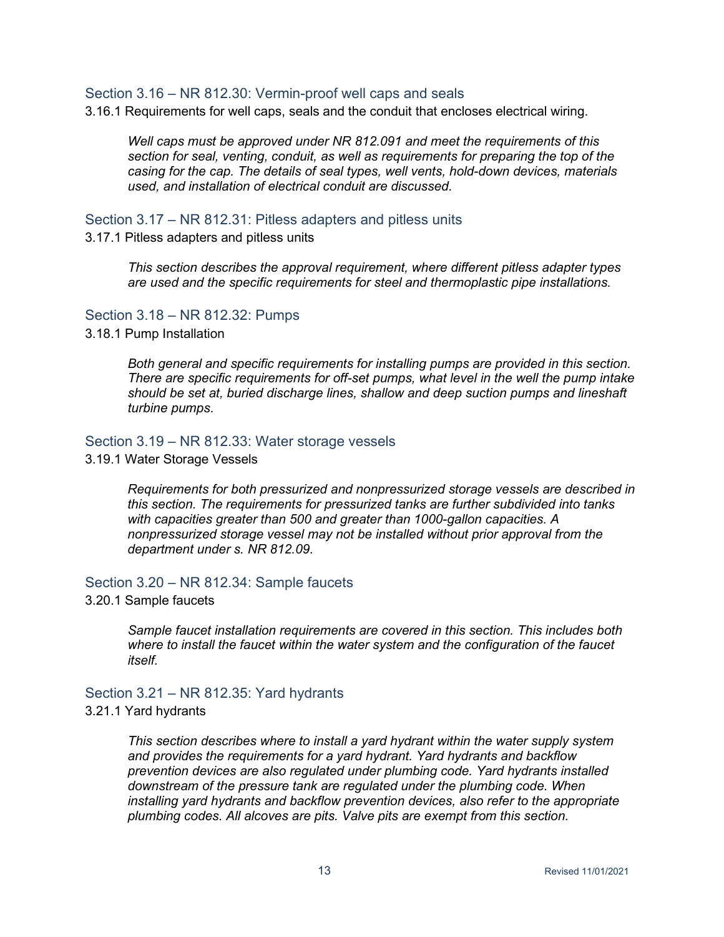#### <span id="page-14-0"></span>Section 3.16 – NR 812.30: Vermin-proof well caps and seals

3.16.1 Requirements for well caps, seals and the conduit that encloses electrical wiring.

*Well caps must be approved under NR 812.091 and meet the requirements of this section for seal, venting, conduit, as well as requirements for preparing the top of the casing for the cap. The details of seal types, well vents, hold-down devices, materials used, and installation of electrical conduit are discussed.*

#### <span id="page-14-1"></span>Section 3.17 – NR 812.31: Pitless adapters and pitless units

3.17.1 Pitless adapters and pitless units

*This section describes the approval requirement, where different pitless adapter types are used and the specific requirements for steel and thermoplastic pipe installations.*

#### <span id="page-14-2"></span>Section 3.18 – NR 812.32: Pumps

3.18.1 Pump Installation

*Both general and specific requirements for installing pumps are provided in this section. There are specific requirements for off-set pumps, what level in the well the pump intake should be set at, buried discharge lines, shallow and deep suction pumps and lineshaft turbine pumps*.

#### <span id="page-14-3"></span>Section 3.19 – NR 812.33: Water storage vessels

3.19.1 Water Storage Vessels

*Requirements for both pressurized and nonpressurized storage vessels are described in this section. The requirements for pressurized tanks are further subdivided into tanks with capacities greater than 500 and greater than 1000-gallon capacities. A nonpressurized storage vessel may not be installed without prior approval from the department under s. NR 812.09.*

#### <span id="page-14-4"></span>Section 3.20 – NR 812.34: Sample faucets

#### 3.20.1 Sample faucets

*Sample faucet installation requirements are covered in this section. This includes both where to install the faucet within the water system and the configuration of the faucet itself.*

#### <span id="page-14-5"></span>Section 3.21 – NR 812.35: Yard hydrants

#### 3.21.1 Yard hydrants

*This section describes where to install a yard hydrant within the water supply system and provides the requirements for a yard hydrant. Yard hydrants and backflow prevention devices are also regulated under plumbing code. Yard hydrants installed downstream of the pressure tank are regulated under the plumbing code. When installing yard hydrants and backflow prevention devices, also refer to the appropriate plumbing codes. All alcoves are pits. Valve pits are exempt from this section.*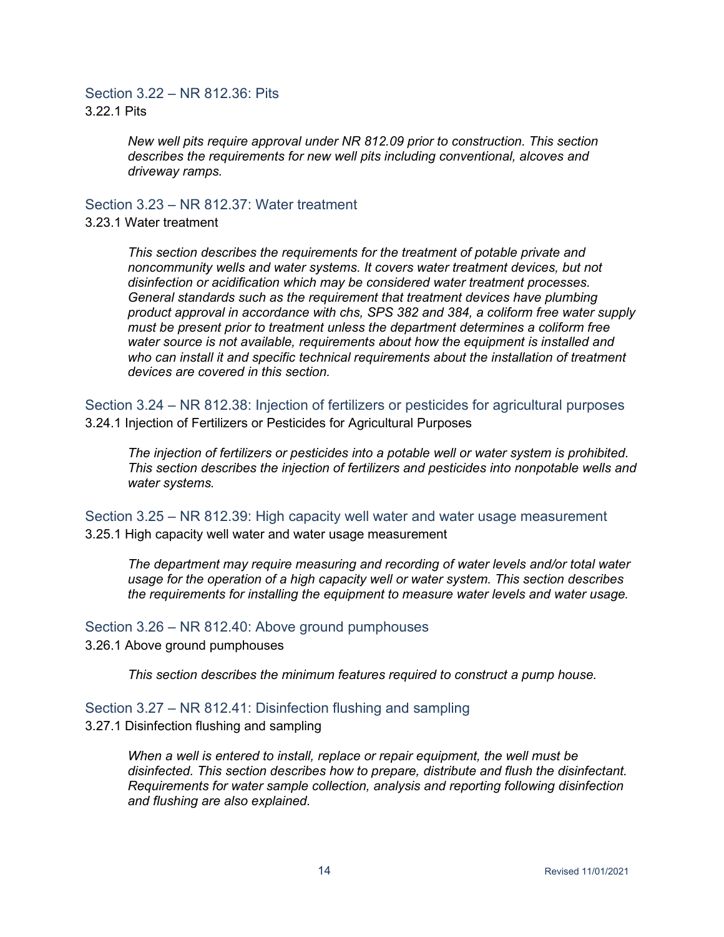# <span id="page-15-0"></span>Section 3.22 – NR 812.36: Pits 3.22.1 Pits

*New well pits require approval under NR 812.09 prior to construction. This section describes the requirements for new well pits including conventional, alcoves and driveway ramps.*

<span id="page-15-1"></span>Section 3.23 – NR 812.37: Water treatment

#### 3.23.1 Water treatment

*This section describes the requirements for the treatment of potable private and noncommunity wells and water systems. It covers water treatment devices, but not disinfection or acidification which may be considered water treatment processes. General standards such as the requirement that treatment devices have plumbing product approval in accordance with chs, SPS 382 and 384, a coliform free water supply must be present prior to treatment unless the department determines a coliform free water source is not available, requirements about how the equipment is installed and who can install it and specific technical requirements about the installation of treatment devices are covered in this section.*

<span id="page-15-2"></span>Section 3.24 – NR 812.38: Injection of fertilizers or pesticides for agricultural purposes 3.24.1 Injection of Fertilizers or Pesticides for Agricultural Purposes

*The injection of fertilizers or pesticides into a potable well or water system is prohibited. This section describes the injection of fertilizers and pesticides into nonpotable wells and water systems.*

<span id="page-15-3"></span>Section 3.25 – NR 812.39: High capacity well water and water usage measurement 3.25.1 High capacity well water and water usage measurement

*The department may require measuring and recording of water levels and/or total water usage for the operation of a high capacity well or water system. This section describes the requirements for installing the equipment to measure water levels and water usage.*

#### <span id="page-15-4"></span>Section 3.26 – NR 812.40: Above ground pumphouses

3.26.1 Above ground pumphouses

*This section describes the minimum features required to construct a pump house.*

#### <span id="page-15-5"></span>Section 3.27 – NR 812.41: Disinfection flushing and sampling

3.27.1 Disinfection flushing and sampling

*When a well is entered to install, replace or repair equipment, the well must be disinfected. This section describes how to prepare, distribute and flush the disinfectant. Requirements for water sample collection, analysis and reporting following disinfection and flushing are also explained.*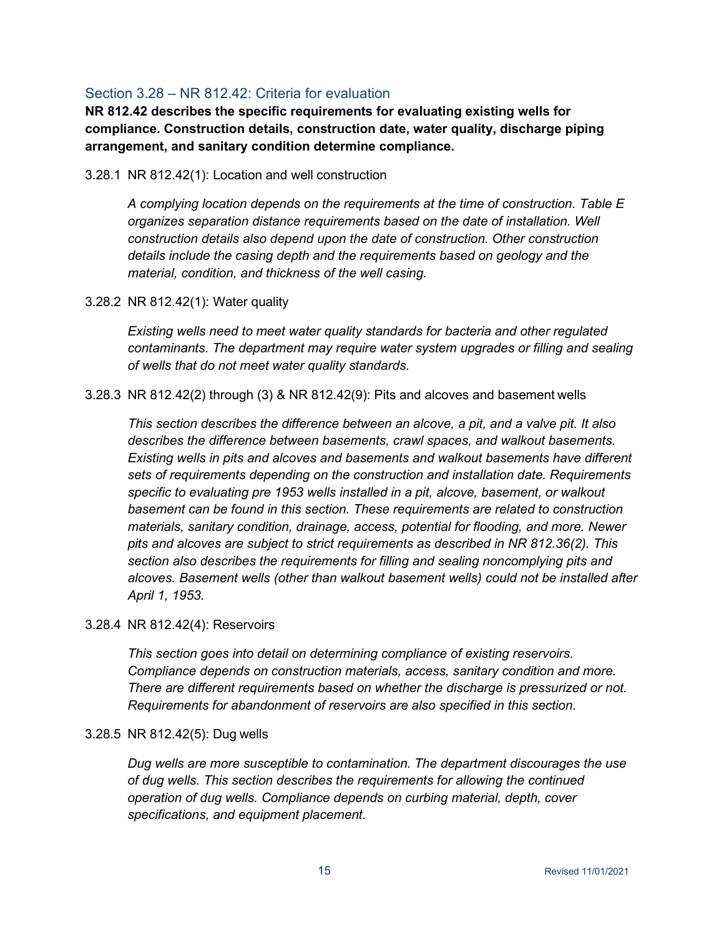# <span id="page-16-0"></span>Section 3.28 – NR 812.42: Criteria for evaluation

**NR 812.42 describes the specific requirements for evaluating existing wells for compliance. Construction details, construction date, water quality, discharge piping arrangement, and sanitary condition determine compliance.**

#### 3.28.1 NR 812.42(1): Location and well construction

*A complying location depends on the requirements at the time of construction. Table E organizes separation distance requirements based on the date of installation. Well construction details also depend upon the date of construction. Other construction details include the casing depth and the requirements based on geology and the material, condition, and thickness of the well casing.*

3.28.2 NR 812.42(1): Water quality

*Existing wells need to meet water quality standards for bacteria and other regulated contaminants. The department may require water system upgrades or filling and sealing of wells that do not meet water quality standards.*

3.28.3 NR 812.42(2) through (3) & NR 812.42(9): Pits and alcoves and basement wells

*This section describes the difference between an alcove, a pit, and a valve pit. It also describes the difference between basements, crawl spaces, and walkout basements. Existing wells in pits and alcoves and basements and walkout basements have different sets of requirements depending on the construction and installation date. Requirements specific to evaluating pre 1953 wells installed in a pit, alcove, basement, or walkout basement can be found in this section. These requirements are related to construction materials, sanitary condition, drainage, access, potential for flooding, and more. Newer pits and alcoves are subject to strict requirements as described in NR 812.36(2). This section also describes the requirements for filling and sealing noncomplying pits and alcoves. Basement wells (other than walkout basement wells) could not be installed after April 1, 1953.*

3.28.4 NR 812.42(4): Reservoirs

*This section goes into detail on determining compliance of existing reservoirs. Compliance depends on construction materials, access, sanitary condition and more. There are different requirements based on whether the discharge is pressurized or not. Requirements for abandonment of reservoirs are also specified in this section.*

# 3.28.5 NR 812.42(5): Dug wells

*Dug wells are more susceptible to contamination. The department discourages the use of dug wells. This section describes the requirements for allowing the continued operation of dug wells. Compliance depends on curbing material, depth, cover specifications, and equipment placement.*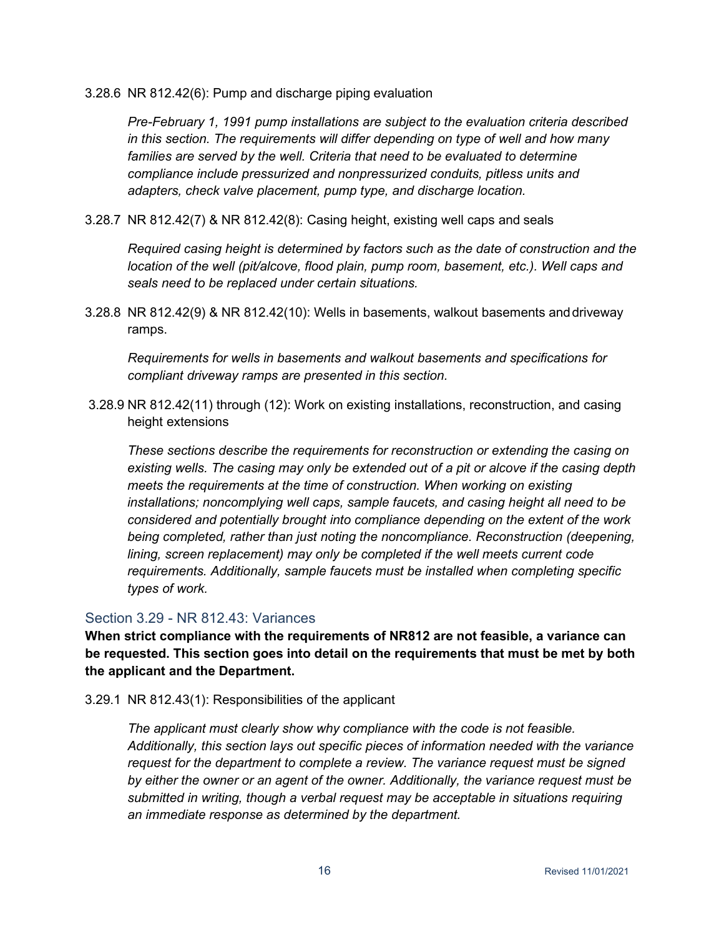3.28.6 NR 812.42(6): Pump and discharge piping evaluation

*Pre-February 1, 1991 pump installations are subject to the evaluation criteria described in this section. The requirements will differ depending on type of well and how many*  families are served by the well. Criteria that need to be evaluated to determine *compliance include pressurized and nonpressurized conduits, pitless units and adapters, check valve placement, pump type, and discharge location.*

3.28.7 NR 812.42(7) & NR 812.42(8): Casing height, existing well caps and seals

*Required casing height is determined by factors such as the date of construction and the location of the well (pit/alcove, flood plain, pump room, basement, etc.). Well caps and seals need to be replaced under certain situations.*

3.28.8 NR 812.42(9) & NR 812.42(10): Wells in basements, walkout basements anddriveway ramps.

*Requirements for wells in basements and walkout basements and specifications for compliant driveway ramps are presented in this section.*

3.28.9 NR 812.42(11) through (12): Work on existing installations, reconstruction, and casing height extensions

*These sections describe the requirements for reconstruction or extending the casing on existing wells. The casing may only be extended out of a pit or alcove if the casing depth meets the requirements at the time of construction. When working on existing installations; noncomplying well caps, sample faucets, and casing height all need to be considered and potentially brought into compliance depending on the extent of the work being completed, rather than just noting the noncompliance. Reconstruction (deepening, lining, screen replacement) may only be completed if the well meets current code requirements. Additionally, sample faucets must be installed when completing specific types of work.*

# <span id="page-17-0"></span>Section 3.29 - NR 812.43: Variances

**When strict compliance with the requirements of NR812 are not feasible, a variance can be requested. This section goes into detail on the requirements that must be met by both the applicant and the Department.**

3.29.1 NR 812.43(1): Responsibilities of the applicant

*The applicant must clearly show why compliance with the code is not feasible. Additionally, this section lays out specific pieces of information needed with the variance request for the department to complete a review. The variance request must be signed by either the owner or an agent of the owner. Additionally, the variance request must be submitted in writing, though a verbal request may be acceptable in situations requiring an immediate response as determined by the department.*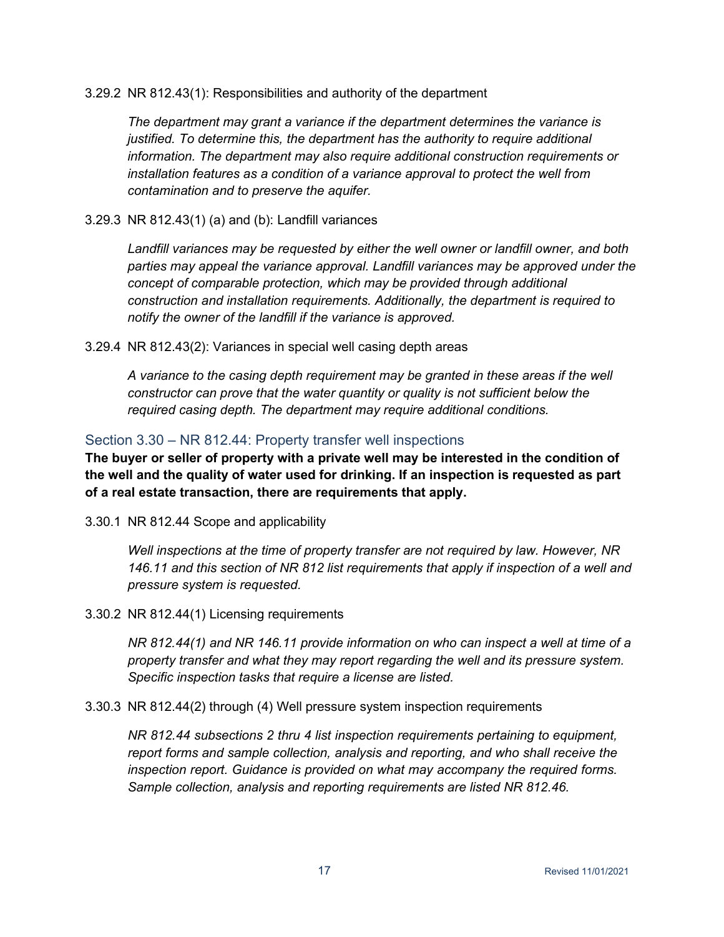3.29.2 NR 812.43(1): Responsibilities and authority of the department

*The department may grant a variance if the department determines the variance is justified. To determine this, the department has the authority to require additional information. The department may also require additional construction requirements or installation features as a condition of a variance approval to protect the well from contamination and to preserve the aquifer.*

3.29.3 NR 812.43(1) (a) and (b): Landfill variances

*Landfill variances may be requested by either the well owner or landfill owner, and both parties may appeal the variance approval. Landfill variances may be approved under the concept of comparable protection, which may be provided through additional construction and installation requirements. Additionally, the department is required to notify the owner of the landfill if the variance is approved.*

3.29.4 NR 812.43(2): Variances in special well casing depth areas

*A variance to the casing depth requirement may be granted in these areas if the well constructor can prove that the water quantity or quality is not sufficient below the required casing depth. The department may require additional conditions.*

# <span id="page-18-0"></span>Section 3.30 – NR 812.44: Property transfer well inspections

**The buyer or seller of property with a private well may be interested in the condition of the well and the quality of water used for drinking. If an inspection is requested as part of a real estate transaction, there are requirements that apply.**

3.30.1 NR 812.44 Scope and applicability

*Well inspections at the time of property transfer are not required by law. However, NR 146.11 and this section of NR 812 list requirements that apply if inspection of a well and pressure system is requested.*

3.30.2 NR 812.44(1) Licensing requirements

*NR 812.44(1) and NR 146.11 provide information on who can inspect a well at time of a property transfer and what they may report regarding the well and its pressure system. Specific inspection tasks that require a license are listed.*

3.30.3 NR 812.44(2) through (4) Well pressure system inspection requirements

*NR 812.44 subsections 2 thru 4 list inspection requirements pertaining to equipment, report forms and sample collection, analysis and reporting, and who shall receive the inspection report. Guidance is provided on what may accompany the required forms. Sample collection, analysis and reporting requirements are listed NR 812.46.*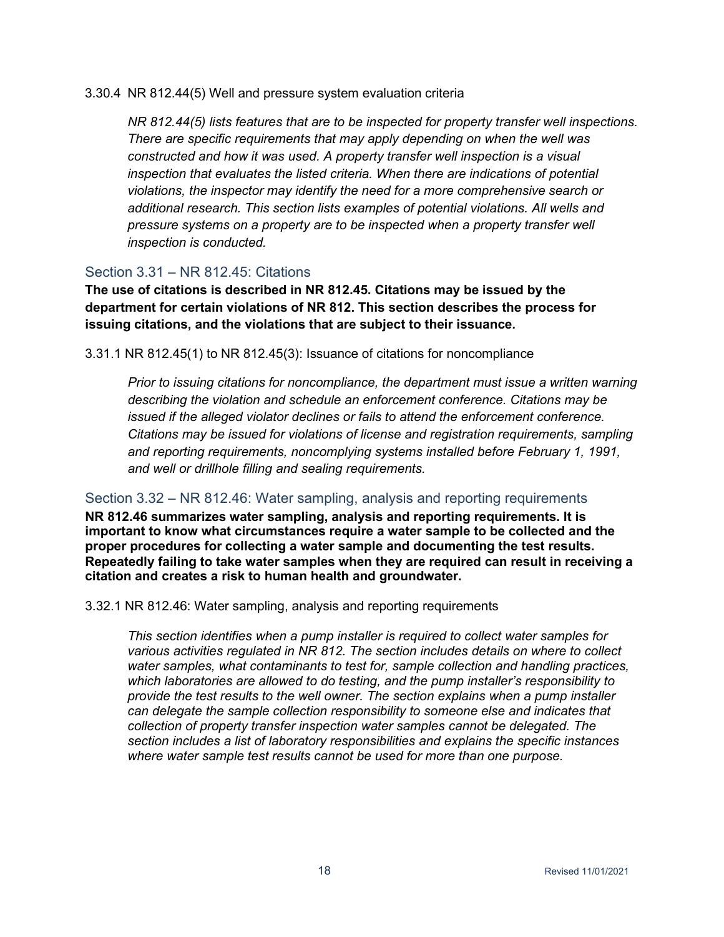3.30.4 NR 812.44(5) Well and pressure system evaluation criteria

*NR 812.44(5) lists features that are to be inspected for property transfer well inspections. There are specific requirements that may apply depending on when the well was constructed and how it was used. A property transfer well inspection is a visual inspection that evaluates the listed criteria. When there are indications of potential violations, the inspector may identify the need for a more comprehensive search or additional research. This section lists examples of potential violations. All wells and pressure systems on a property are to be inspected when a property transfer well inspection is conducted.*

# <span id="page-19-0"></span>Section  $3.31 - NR 812 45$ : Citations

**The use of citations is described in NR 812.45. Citations may be issued by the department for certain violations of NR 812. This section describes the process for issuing citations, and the violations that are subject to their issuance.**

3.31.1 NR 812.45(1) to NR 812.45(3): Issuance of citations for noncompliance

*Prior to issuing citations for noncompliance, the department must issue a written warning describing the violation and schedule an enforcement conference. Citations may be issued if the alleged violator declines or fails to attend the enforcement conference. Citations may be issued for violations of license and registration requirements, sampling and reporting requirements, noncomplying systems installed before February 1, 1991, and well or drillhole filling and sealing requirements.*

# <span id="page-19-1"></span>Section 3.32 – NR 812.46: Water sampling, analysis and reporting requirements

**NR 812.46 summarizes water sampling, analysis and reporting requirements. It is important to know what circumstances require a water sample to be collected and the proper procedures for collecting a water sample and documenting the test results. Repeatedly failing to take water samples when they are required can result in receiving a citation and creates a risk to human health and groundwater.**

3.32.1 NR 812.46: Water sampling, analysis and reporting requirements

*This section identifies when a pump installer is required to collect water samples for various activities regulated in NR 812. The section includes details on where to collect water samples, what contaminants to test for, sample collection and handling practices, which laboratories are allowed to do testing, and the pump installer's responsibility to provide the test results to the well owner. The section explains when a pump installer can delegate the sample collection responsibility to someone else and indicates that collection of property transfer inspection water samples cannot be delegated. The section includes a list of laboratory responsibilities and explains the specific instances where water sample test results cannot be used for more than one purpose.*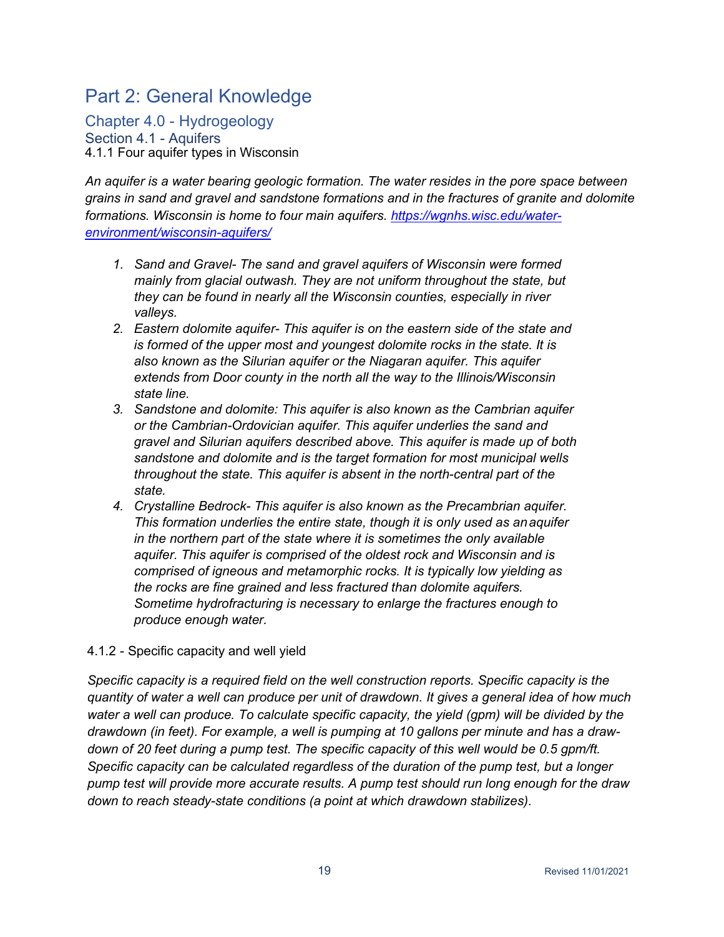# <span id="page-20-0"></span>Part 2: General Knowledge

<span id="page-20-2"></span><span id="page-20-1"></span>Chapter 4.0 - Hydrogeology Section 4.1 - Aquifers 4.1.1 Four aquifer types in Wisconsin

*An aquifer is a water bearing geologic formation. The water resides in the pore space between grains in sand and gravel and sandstone formations and in the fractures of granite and dolomite formations. Wisconsin is home to four main aquifers. [https://wgnhs.wisc.edu/water](https://wgnhs.wisc.edu/water-environment/wisconsin-aquifers/)[environment/wisconsin-aquifers/](https://wgnhs.wisc.edu/water-environment/wisconsin-aquifers/)*

- *1. Sand and Gravel- The sand and gravel aquifers of Wisconsin were formed mainly from glacial outwash. They are not uniform throughout the state, but they can be found in nearly all the Wisconsin counties, especially in river valleys.*
- *2. Eastern dolomite aquifer- This aquifer is on the eastern side of the state and is formed of the upper most and youngest dolomite rocks in the state. It is also known as the Silurian aquifer or the Niagaran aquifer. This aquifer extends from Door county in the north all the way to the Illinois/Wisconsin state line.*
- *3. Sandstone and dolomite: This aquifer is also known as the Cambrian aquifer or the Cambrian-Ordovician aquifer. This aquifer underlies the sand and gravel and Silurian aquifers described above. This aquifer is made up of both sandstone and dolomite and is the target formation for most municipal wells throughout the state. This aquifer is absent in the north-central part of the state.*
- *4. Crystalline Bedrock- This aquifer is also known as the Precambrian aquifer. This formation underlies the entire state, though it is only used as anaquifer in the northern part of the state where it is sometimes the only available aquifer. This aquifer is comprised of the oldest rock and Wisconsin and is comprised of igneous and metamorphic rocks. It is typically low yielding as the rocks are fine grained and less fractured than dolomite aquifers. Sometime hydrofracturing is necessary to enlarge the fractures enough to produce enough water.*

# 4.1.2 - Specific capacity and well yield

*Specific capacity is a required field on the well construction reports. Specific capacity is the quantity of water a well can produce per unit of drawdown. It gives a general idea of how much water a well can produce. To calculate specific capacity, the yield (gpm) will be divided by the drawdown (in feet). For example, a well is pumping at 10 gallons per minute and has a drawdown of 20 feet during a pump test. The specific capacity of this well would be 0.5 gpm/ft. Specific capacity can be calculated regardless of the duration of the pump test, but a longer pump test will provide more accurate results. A pump test should run long enough for the draw down to reach steady-state conditions (a point at which drawdown stabilizes).*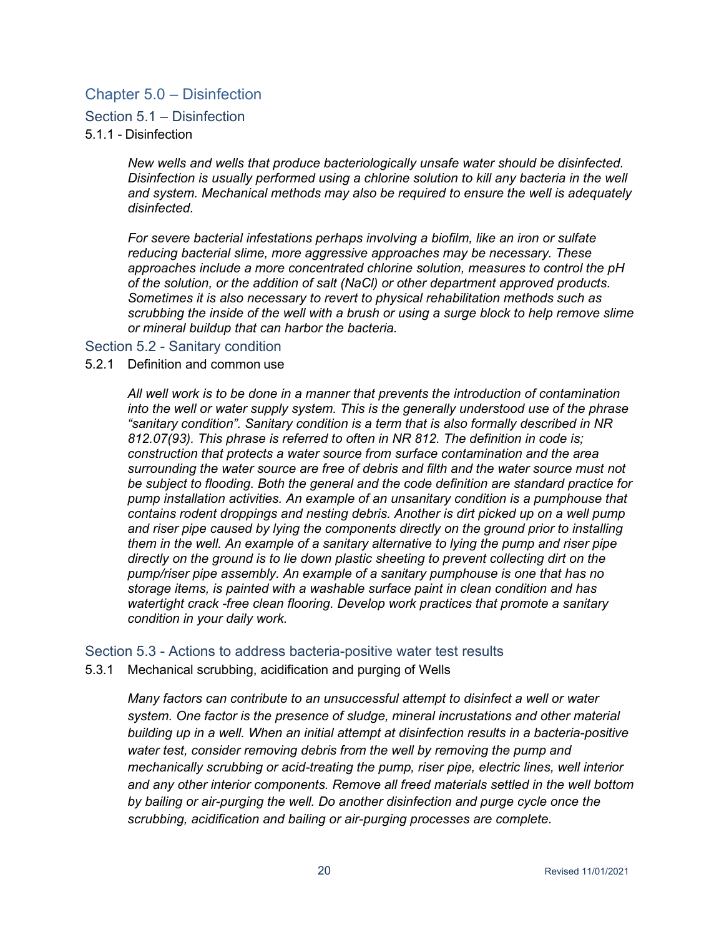# <span id="page-21-0"></span>Chapter 5.0 – Disinfection

#### <span id="page-21-1"></span>Section 5.1 – Disinfection

#### 5.1.1 - Disinfection

*New wells and wells that produce bacteriologically unsafe water should be disinfected. Disinfection is usually performed using a chlorine solution to kill any bacteria in the well and system. Mechanical methods may also be required to ensure the well is adequately disinfected.*

*For severe bacterial infestations perhaps involving a biofilm, like an iron or sulfate reducing bacterial slime, more aggressive approaches may be necessary. These approaches include a more concentrated chlorine solution, measures to control the pH of the solution, or the addition of salt (NaCl) or other department approved products. Sometimes it is also necessary to revert to physical rehabilitation methods such as scrubbing the inside of the well with a brush or using a surge block to help remove slime or mineral buildup that can harbor the bacteria.*

#### <span id="page-21-2"></span>Section 5.2 - Sanitary condition

#### 5.2.1 Definition and common use

*All well work is to be done in a manner that prevents the introduction of contamination into the well or water supply system. This is the generally understood use of the phrase "sanitary condition". Sanitary condition is a term that is also formally described in NR 812.07(93). This phrase is referred to often in NR 812. The definition in code is; construction that protects a water source from surface contamination and the area surrounding the water source are free of debris and filth and the water source must not be subject to flooding. Both the general and the code definition are standard practice for pump installation activities. An example of an unsanitary condition is a pumphouse that contains rodent droppings and nesting debris. Another is dirt picked up on a well pump and riser pipe caused by lying the components directly on the ground prior to installing them in the well. An example of a sanitary alternative to lying the pump and riser pipe directly on the ground is to lie down plastic sheeting to prevent collecting dirt on the pump/riser pipe assembly. An example of a sanitary pumphouse is one that has no storage items, is painted with a washable surface paint in clean condition and has watertight crack -free clean flooring. Develop work practices that promote a sanitary condition in your daily work.*

#### <span id="page-21-3"></span>Section 5.3 - Actions to address bacteria-positive water test results

5.3.1 Mechanical scrubbing, acidification and purging of Wells

*Many factors can contribute to an unsuccessful attempt to disinfect a well or water system. One factor is the presence of sludge, mineral incrustations and other material building up in a well. When an initial attempt at disinfection results in a bacteria-positive water test, consider removing debris from the well by removing the pump and mechanically scrubbing or acid-treating the pump, riser pipe, electric lines, well interior and any other interior components. Remove all freed materials settled in the well bottom by bailing or air-purging the well. Do another disinfection and purge cycle once the scrubbing, acidification and bailing or air-purging processes are complete.*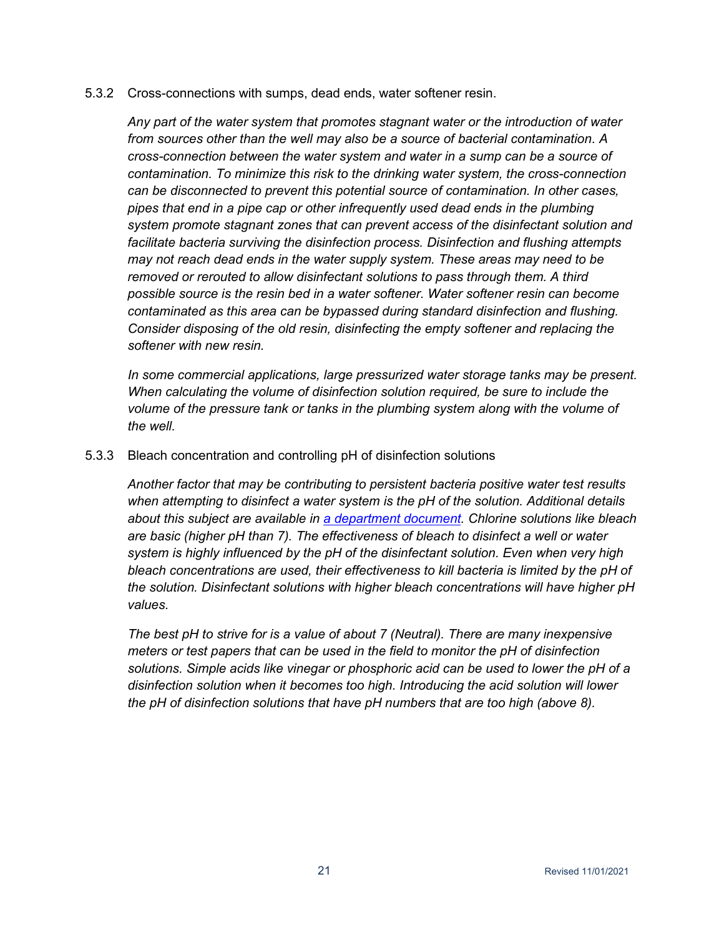#### 5.3.2 Cross-connections with sumps, dead ends, water softener resin.

*Any part of the water system that promotes stagnant water or the introduction of water from sources other than the well may also be a source of bacterial contamination*. *A cross-connection between the water system and water in a sump can be a source of contamination. To minimize this risk to the drinking water system, the cross-connection can be disconnected to prevent this potential source of contamination. In other cases, pipes that end in a pipe cap or other infrequently used dead ends in the plumbing system promote stagnant zones that can prevent access of the disinfectant solution and facilitate bacteria surviving the disinfection process. Disinfection and flushing attempts may not reach dead ends in the water supply system. These areas may need to be removed or rerouted to allow disinfectant solutions to pass through them. A third possible source is the resin bed in a water softener. Water softener resin can become contaminated as this area can be bypassed during standard disinfection and flushing. Consider disposing of the old resin, disinfecting the empty softener and replacing the softener with new resin.*

*In some commercial applications, large pressurized water storage tanks may be present. When calculating the volume of disinfection solution required, be sure to include the volume of the pressure tank or tanks in the plumbing system along with the volume of the well.*

#### 5.3.3 Bleach concentration and controlling pH of disinfection solutions

*Another factor that may be contributing to persistent bacteria positive water test results when attempting to disinfect a water system is the pH of the solution. Additional details about this subject are available in [a department document.](https://dnr.wi.gov/regulations/labcert/documents/training/CL2Chemistry.pdf) Chlorine solutions like bleach are basic (higher pH than 7). The effectiveness of bleach to disinfect a well or water system is highly influenced by the pH of the disinfectant solution. Even when very high bleach concentrations are used, their effectiveness to kill bacteria is limited by the pH of the solution. Disinfectant solutions with higher bleach concentrations will have higher pH values.*

*The best pH to strive for is a value of about 7 (Neutral). There are many inexpensive meters or test papers that can be used in the field to monitor the pH of disinfection solutions. Simple acids like vinegar or phosphoric acid can be used to lower the pH of a disinfection solution when it becomes too high. Introducing the acid solution will lower the pH of disinfection solutions that have pH numbers that are too high (above 8).*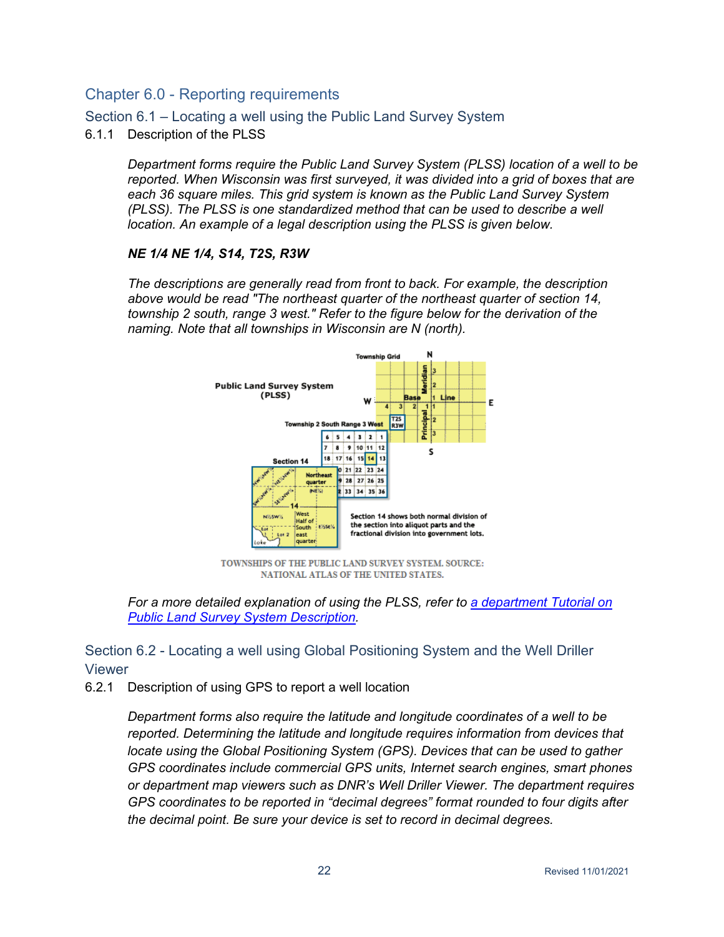# <span id="page-23-0"></span>Chapter 6.0 - Reporting requirements

<span id="page-23-1"></span>Section 6.1 – Locating a well using the Public Land Survey System

6.1.1 Description of the PLSS

*Department forms require the Public Land Survey System (PLSS) location of a well to be reported. When Wisconsin was first surveyed, it was divided into a grid of boxes that are each 36 square miles. This grid system is known as the Public Land Survey System (PLSS). The PLSS is one standardized method that can be used to describe a well location. An example of a legal description using the PLSS is given below.*

#### *NE 1/4 NE 1/4, S14, T2S, R3W*

*The descriptions are generally read from front to back. For example, the description above would be read "The northeast quarter of the northeast quarter of section 14, township 2 south, range 3 west." Refer to the figure below for the derivation of the naming. Note that all townships in Wisconsin are N (north).*



TOWNSHIPS OF THE PUBLIC LAND SURVEY SYSTEM. SOURCE: NATIONAL ATLAS OF THE UNITED STATES.

*For a more detailed explanation of using the PLSS, refer to [a department Tutorial o](https://dnr.wi.gov/topic/forestmanagement/documents/plsstutorial.pdf)n Public Land Survey System Description.*

# <span id="page-23-2"></span>Section 6.2 - Locating a well using Global Positioning System and the Well Driller Viewer

6.2.1 Description of using GPS to report a well location

*Department forms also require the latitude and longitude coordinates of a well to be reported. Determining the latitude and longitude requires information from devices that locate using the Global Positioning System (GPS). Devices that can be used to gather GPS coordinates include commercial GPS units, Internet search engines, smart phones or department map viewers such as DNR's Well Driller Viewer. The department requires GPS coordinates to be reported in "decimal degrees" format rounded to four digits after the decimal point. Be sure your device is set to record in decimal degrees.*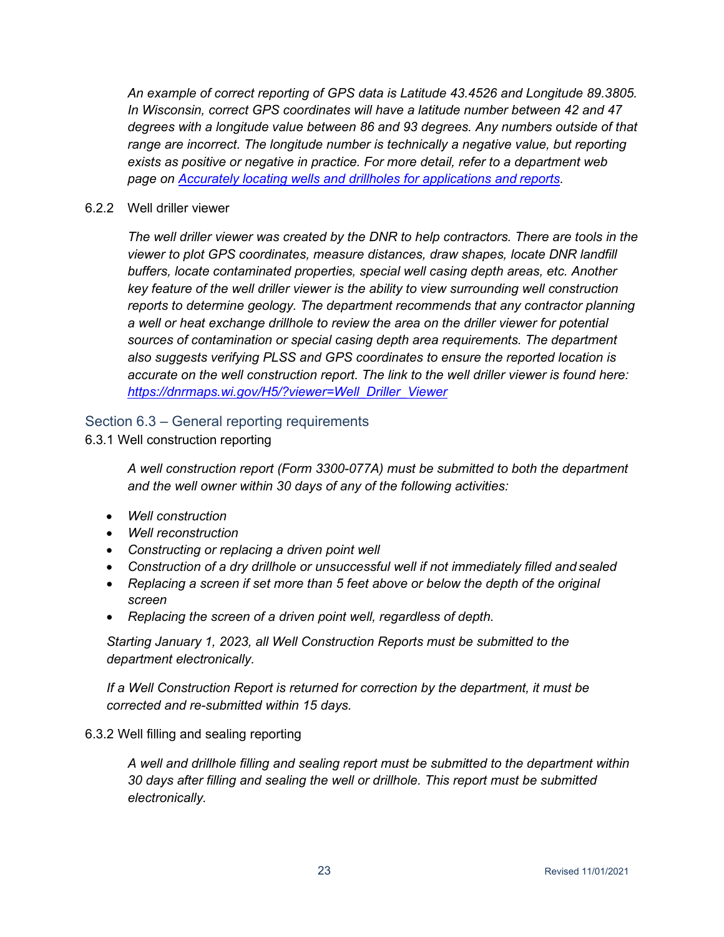*An example of correct reporting of GPS data is Latitude 43.4526 and Longitude 89.3805. In Wisconsin, correct GPS coordinates will have a latitude number between 42 and 47 degrees with a longitude value between 86 and 93 degrees. Any numbers outside of that range are incorrect. The longitude number is technically a negative value, but reporting exists as positive or negative in practice. For more detail, refer to a department web page on [Accurately locating wells and drillholes for applications and](https://dnr.wi.gov/topic/Wells/locatingWithGPS.html) reports.*

#### 6.2.2 Well driller viewer

*The well driller viewer was created by the DNR to help contractors. There are tools in the viewer to plot GPS coordinates, measure distances, draw shapes, locate DNR landfill buffers, locate contaminated properties, special well casing depth areas, etc. Another key feature of the well driller viewer is the ability to view surrounding well construction reports to determine geology. The department recommends that any contractor planning a well or heat exchange drillhole to review the area on the driller viewer for potential sources of contamination or special casing depth area requirements. The department also suggests verifying PLSS and GPS coordinates to ensure the reported location is accurate on the well construction report. The link to the well driller viewer is found here: [https://dnrmaps.wi.gov/H5/?viewer=Well\\_Driller\\_Viewer](https://dnrmaps.wi.gov/H5/?viewer=Well_Driller_Viewer)*

# <span id="page-24-0"></span>Section 6.3 – General reporting requirements

6.3.1 Well construction reporting

*A well construction report (Form 3300-077A) must be submitted to both the department and the well owner within 30 days of any of the following activities:*

- *Well construction*
- *Well reconstruction*
- *Constructing or replacing a driven point well*
- Construction of a dry drillhole or unsuccessful well if not immediately filled and sealed
- *Replacing a screen if set more than 5 feet above or below the depth of the original screen*
- *Replacing the screen of a driven point well, regardless of depth.*

*Starting January 1, 2023, all Well Construction Reports must be submitted to the department electronically.*

*If a Well Construction Report is returned for correction by the department, it must be corrected and re-submitted within 15 days.*

#### 6.3.2 Well filling and sealing reporting

*A well and drillhole filling and sealing report must be submitted to the department within 30 days after filling and sealing the well or drillhole. This report must be submitted electronically.*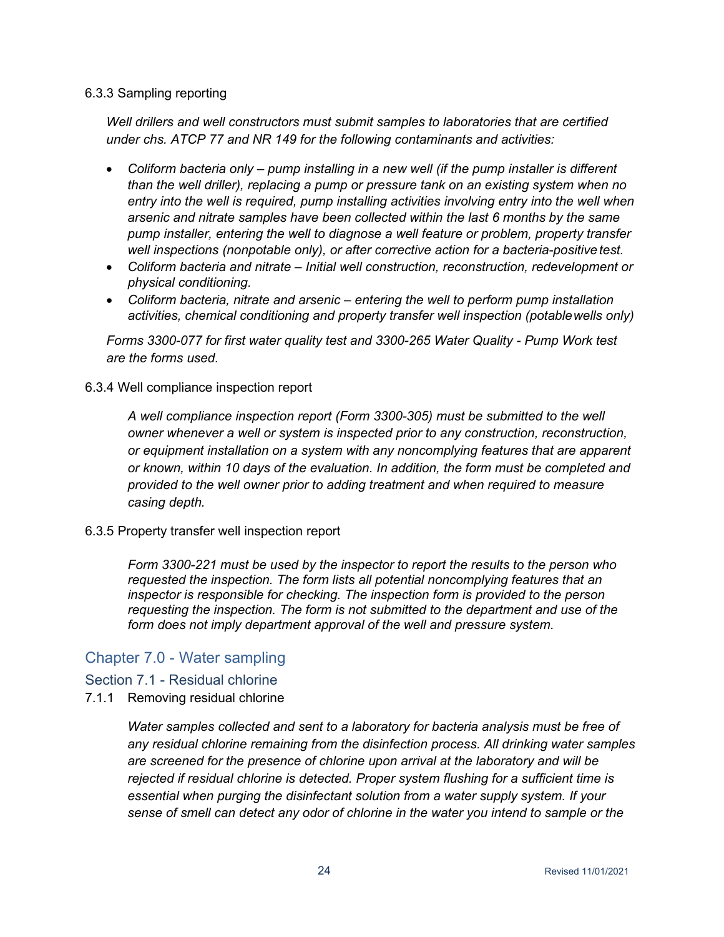#### 6.3.3 Sampling reporting

*Well drillers and well constructors must submit samples to laboratories that are certified under chs. ATCP 77 and NR 149 for the following contaminants and activities:*

- *Coliform bacteria only – pump installing in a new well (if the pump installer is different than the well driller), replacing a pump or pressure tank on an existing system when no*  entry into the well is required, pump installing activities involving entry into the well when *arsenic and nitrate samples have been collected within the last 6 months by the same pump installer, entering the well to diagnose a well feature or problem, property transfer well inspections (nonpotable only), or after corrective action for a bacteria-positivetest.*
- *Coliform bacteria and nitrate – Initial well construction, reconstruction, redevelopment or physical conditioning.*
- *Coliform bacteria, nitrate and arsenic – entering the well to perform pump installation activities, chemical conditioning and property transfer well inspection (potablewells only)*

*Forms 3300-077 for first water quality test and 3300-265 Water Quality - Pump Work test are the forms used.*

#### 6.3.4 Well compliance inspection report

*A well compliance inspection report (Form 3300-305) must be submitted to the well owner whenever a well or system is inspected prior to any construction, reconstruction, or equipment installation on a system with any noncomplying features that are apparent or known, within 10 days of the evaluation. In addition, the form must be completed and provided to the well owner prior to adding treatment and when required to measure casing depth.*

#### 6.3.5 Property transfer well inspection report

*Form 3300-221 must be used by the inspector to report the results to the person who requested the inspection. The form lists all potential noncomplying features that an inspector is responsible for checking. The inspection form is provided to the person requesting the inspection. The form is not submitted to the department and use of the form does not imply department approval of the well and pressure system.*

# <span id="page-25-0"></span>Chapter 7.0 - Water sampling

# <span id="page-25-1"></span>Section 7.1 - Residual chlorine

7.1.1 Removing residual chlorine

*Water samples collected and sent to a laboratory for bacteria analysis must be free of any residual chlorine remaining from the disinfection process. All drinking water samples are screened for the presence of chlorine upon arrival at the laboratory and will be rejected if residual chlorine is detected. Proper system flushing for a sufficient time is essential when purging the disinfectant solution from a water supply system. If your sense of smell can detect any odor of chlorine in the water you intend to sample or the*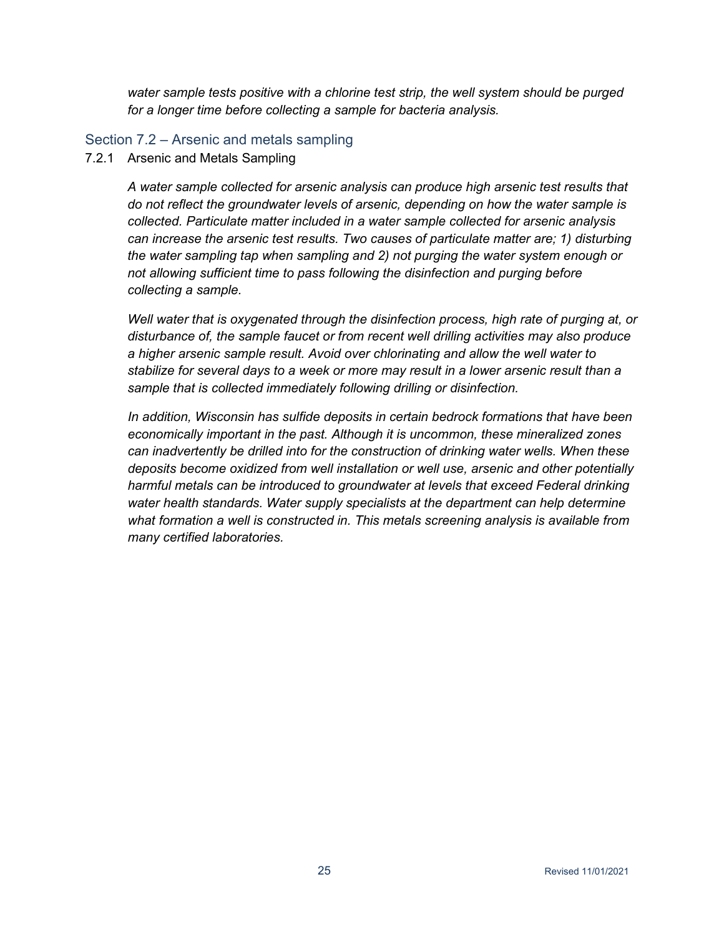*water sample tests positive with a chlorine test strip, the well system should be purged for a longer time before collecting a sample for bacteria analysis.*

#### <span id="page-26-0"></span>Section 7.2 – Arsenic and metals sampling

7.2.1 Arsenic and Metals Sampling

*A water sample collected for arsenic analysis can produce high arsenic test results that do not reflect the groundwater levels of arsenic, depending on how the water sample is collected. Particulate matter included in a water sample collected for arsenic analysis can increase the arsenic test results. Two causes of particulate matter are; 1) disturbing the water sampling tap when sampling and 2) not purging the water system enough or not allowing sufficient time to pass following the disinfection and purging before collecting a sample.*

*Well water that is oxygenated through the disinfection process, high rate of purging at, or disturbance of, the sample faucet or from recent well drilling activities may also produce a higher arsenic sample result. Avoid over chlorinating and allow the well water to stabilize for several days to a week or more may result in a lower arsenic result than a sample that is collected immediately following drilling or disinfection.*

*In addition, Wisconsin has sulfide deposits in certain bedrock formations that have been economically important in the past. Although it is uncommon, these mineralized zones can inadvertently be drilled into for the construction of drinking water wells. When these deposits become oxidized from well installation or well use, arsenic and other potentially harmful metals can be introduced to groundwater at levels that exceed Federal drinking water health standards. Water supply specialists at the department can help determine what formation a well is constructed in. This metals screening analysis is available from many certified laboratories.*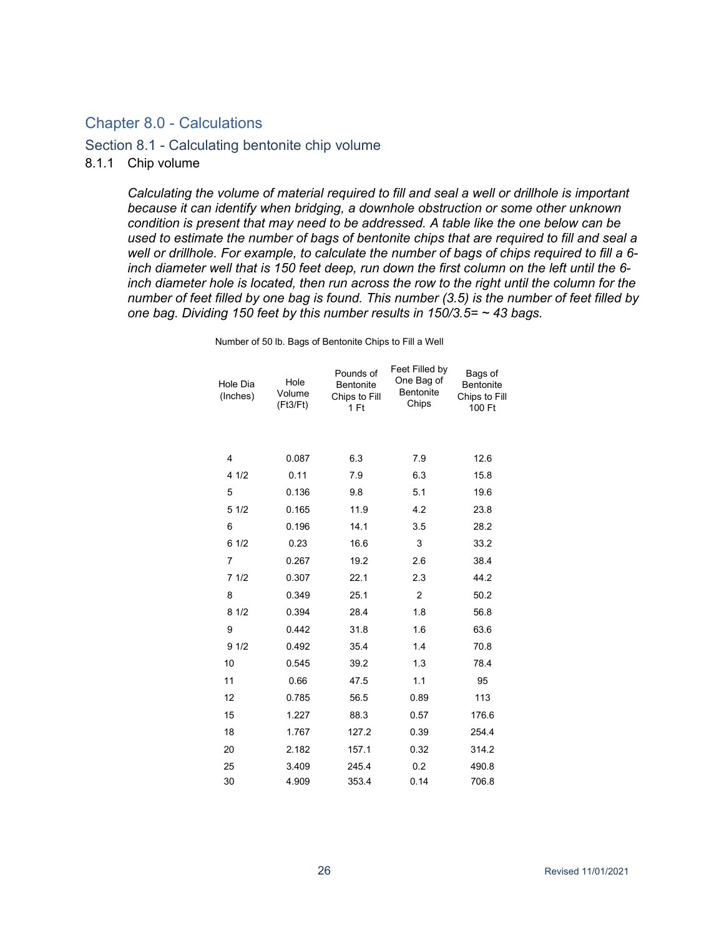# <span id="page-27-0"></span>Chapter 8.0 - Calculations

#### <span id="page-27-1"></span>Section 8.1 - Calculating bentonite chip volume

#### 8.1.1 Chip volume

*Calculating the volume of material required to fill and seal a well or drillhole is important because it can identify when bridging, a downhole obstruction or some other unknown condition is present that may need to be addressed. A table like the one below can be used to estimate the number of bags of bentonite chips that are required to fill and seal a well or drillhole. For example, to calculate the number of bags of chips required to fill a 6 inch diameter well that is 150 feet deep, run down the first column on the left until the 6 inch diameter hole is located, then run across the row to the right until the column for the number of feet filled by one bag is found. This number (3.5) is the number of feet filled by one bag. Dividing 150 feet by this number results in 150/3.5= ~ 43 bags.*

| Hole Dia<br>(Inches) | Hole<br>Volume<br>(Ft3/Ft) | Pounds of<br><b>Bentonite</b><br>Chips to Fill<br>1 Ft | Feet Filled by<br>One Bag of<br><b>Bentonite</b><br>Chips | Bags of<br>Bentonite<br>Chips to Fill<br>100 Ft |
|----------------------|----------------------------|--------------------------------------------------------|-----------------------------------------------------------|-------------------------------------------------|
|                      |                            |                                                        |                                                           |                                                 |
| 4                    | 0.087                      | 6.3                                                    | 7.9                                                       | 12.6                                            |
| 41/2                 | 0.11                       | 7.9                                                    | 6.3                                                       | 15.8                                            |
| 5                    | 0.136                      | 9.8                                                    | 5.1                                                       | 19.6                                            |
| 51/2                 | 0.165                      | 11.9                                                   | 4.2                                                       | 23.8                                            |
| 6                    | 0.196                      | 14.1                                                   | 3.5                                                       | 28.2                                            |
| 61/2                 | 0.23                       | 16.6                                                   | 3                                                         | 33.2                                            |
| $\overline{7}$       | 0.267                      | 19.2                                                   | 2.6                                                       | 38.4                                            |
| 71/2                 | 0.307                      | 22.1                                                   | 2.3                                                       | 44.2                                            |
| 8                    | 0.349                      | 25.1                                                   | $\overline{2}$                                            | 50.2                                            |
| 81/2                 | 0.394                      | 28.4                                                   | 1.8                                                       | 56.8                                            |
| 9                    | 0.442                      | 31.8                                                   | 1.6                                                       | 63.6                                            |
| 91/2                 | 0.492                      | 35.4                                                   | 1.4                                                       | 70.8                                            |
| 10                   | 0.545                      | 39.2                                                   | 1.3                                                       | 78.4                                            |
| 11                   | 0.66                       | 47.5                                                   | 1.1                                                       | 95                                              |
| 12                   | 0.785                      | 56.5                                                   | 0.89                                                      | 113                                             |
| 15                   | 1.227                      | 88.3                                                   | 0.57                                                      | 176.6                                           |
| 18                   | 1.767                      | 127.2                                                  | 0.39                                                      | 254.4                                           |
| 20                   | 2.182                      | 157.1                                                  | 0.32                                                      | 314.2                                           |
| 25                   | 3.409                      | 245.4                                                  | 0.2                                                       | 490.8                                           |
| 30                   | 4.909                      | 353.4                                                  | 0.14                                                      | 706.8                                           |

Number of 50 lb. Bags of Bentonite Chips to Fill a Well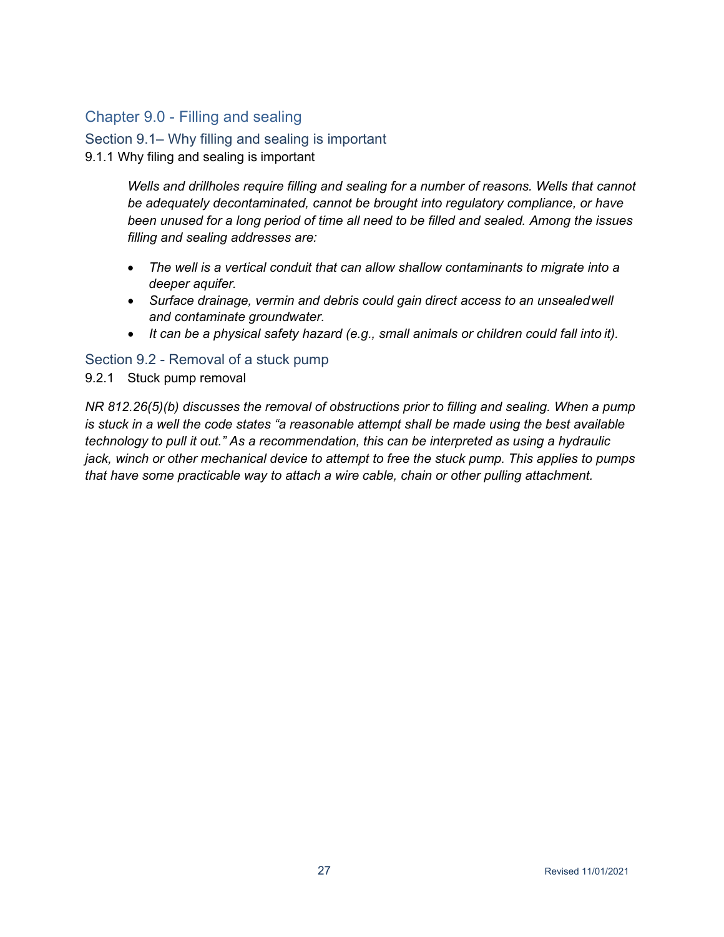# <span id="page-28-0"></span>Chapter 9.0 - Filling and sealing

<span id="page-28-1"></span>Section 9.1– Why filling and sealing is important 9.1.1 Why filing and sealing is important

> *Wells and drillholes require filling and sealing for a number of reasons. Wells that cannot be adequately decontaminated, cannot be brought into regulatory compliance, or have been unused for a long period of time all need to be filled and sealed. Among the issues filling and sealing addresses are:*

- *The well is a vertical conduit that can allow shallow contaminants to migrate into a deeper aquifer.*
- *Surface drainage, vermin and debris could gain direct access to an unsealedwell and contaminate groundwater.*
- *It can be a physical safety hazard (e.g., small animals or children could fall into it).*

# <span id="page-28-2"></span>Section 9.2 - Removal of a stuck pump

# 9.2.1 Stuck pump removal

*NR 812.26(5)(b) discusses the removal of obstructions prior to filling and sealing. When a pump is stuck in a well the code states "a reasonable attempt shall be made using the best available technology to pull it out." As a recommendation, this can be interpreted as using a hydraulic jack, winch or other mechanical device to attempt to free the stuck pump. This applies to pumps that have some practicable way to attach a wire cable, chain or other pulling attachment.*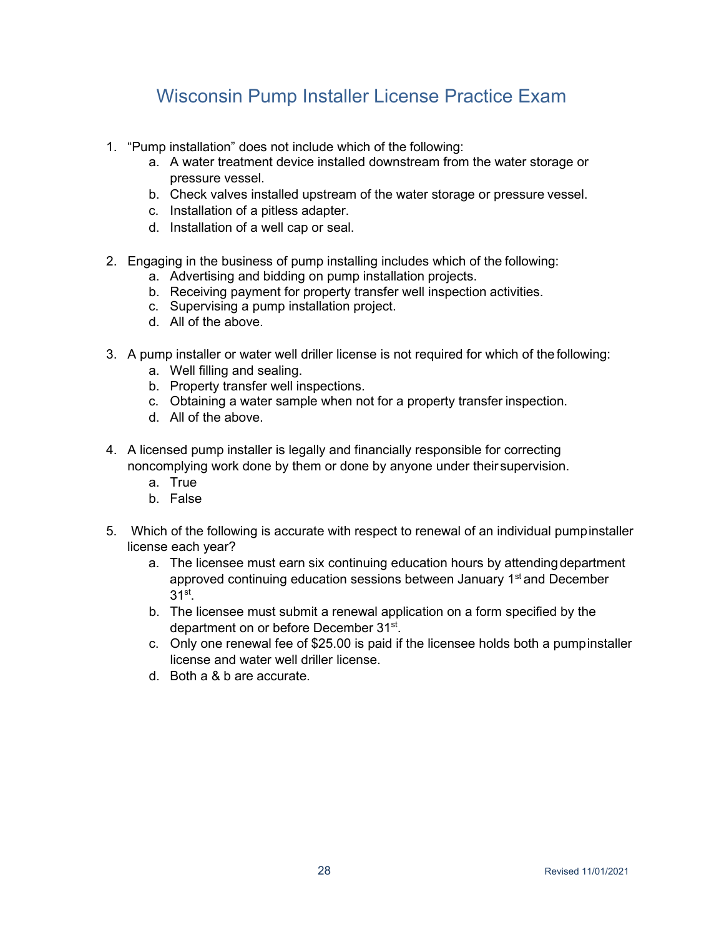# Wisconsin Pump Installer License Practice Exam

- <span id="page-29-0"></span>1. "Pump installation" does not include which of the following:
	- a. A water treatment device installed downstream from the water storage or pressure vessel.
	- b. Check valves installed upstream of the water storage or pressure vessel.
	- c. Installation of a pitless adapter.
	- d. Installation of a well cap or seal.
- 2. Engaging in the business of pump installing includes which of the following:
	- a. Advertising and bidding on pump installation projects.
	- b. Receiving payment for property transfer well inspection activities.
	- c. Supervising a pump installation project.
	- d. All of the above.
- 3. A pump installer or water well driller license is not required for which of the following:
	- a. Well filling and sealing.
	- b. Property transfer well inspections.
	- c. Obtaining a water sample when not for a property transfer inspection.
	- d. All of the above.
- 4. A licensed pump installer is legally and financially responsible for correcting noncomplying work done by them or done by anyone under their supervision.
	- a. True
	- b. False
- 5. Which of the following is accurate with respect to renewal of an individual pumpinstaller license each year?
	- a. The licensee must earn six continuing education hours by attendingdepartment approved continuing education sessions between January 1<sup>st</sup> and December  $31<sup>st</sup>$ .
	- b. The licensee must submit a renewal application on a form specified by the department on or before December 31st.
	- c. Only one renewal fee of \$25.00 is paid if the licensee holds both a pumpinstaller license and water well driller license.
	- d. Both a & b are accurate.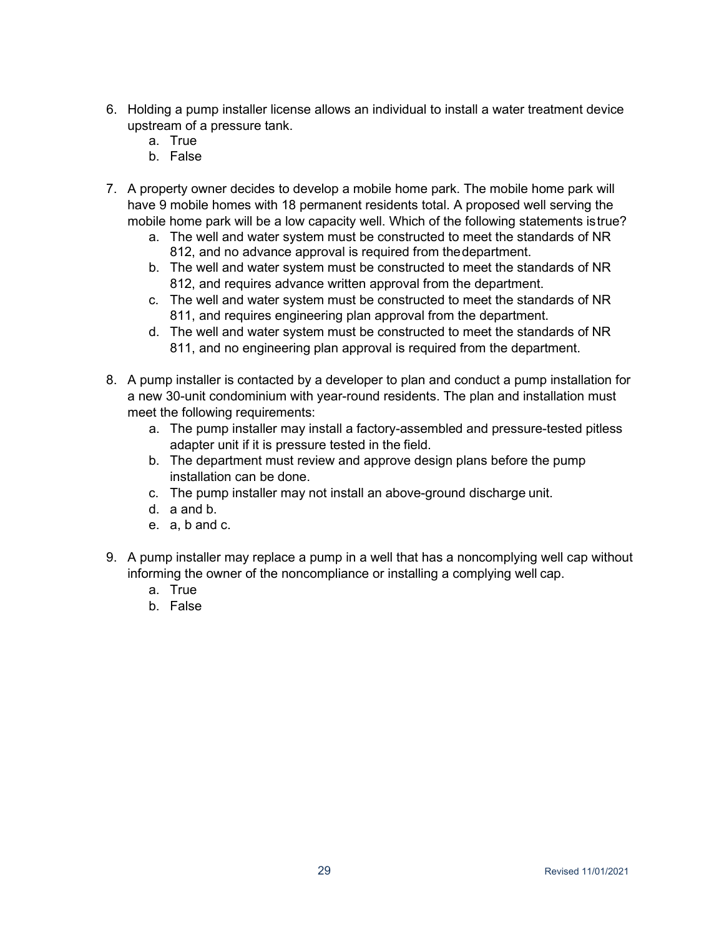- 6. Holding a pump installer license allows an individual to install a water treatment device upstream of a pressure tank.
	- a. True
	- b. False
- 7. A property owner decides to develop a mobile home park. The mobile home park will have 9 mobile homes with 18 permanent residents total. A proposed well serving the mobile home park will be a low capacity well. Which of the following statements istrue?
	- a. The well and water system must be constructed to meet the standards of NR 812, and no advance approval is required from thedepartment.
	- b. The well and water system must be constructed to meet the standards of NR 812, and requires advance written approval from the department.
	- c. The well and water system must be constructed to meet the standards of NR 811, and requires engineering plan approval from the department.
	- d. The well and water system must be constructed to meet the standards of NR 811, and no engineering plan approval is required from the department.
- 8. A pump installer is contacted by a developer to plan and conduct a pump installation for a new 30-unit condominium with year-round residents. The plan and installation must meet the following requirements:
	- a. The pump installer may install a factory-assembled and pressure-tested pitless adapter unit if it is pressure tested in the field.
	- b. The department must review and approve design plans before the pump installation can be done.
	- c. The pump installer may not install an above-ground discharge unit.
	- d. a and b.
	- e. a, b and c.
- 9. A pump installer may replace a pump in a well that has a noncomplying well cap without informing the owner of the noncompliance or installing a complying well cap.
	- a. True
	- b. False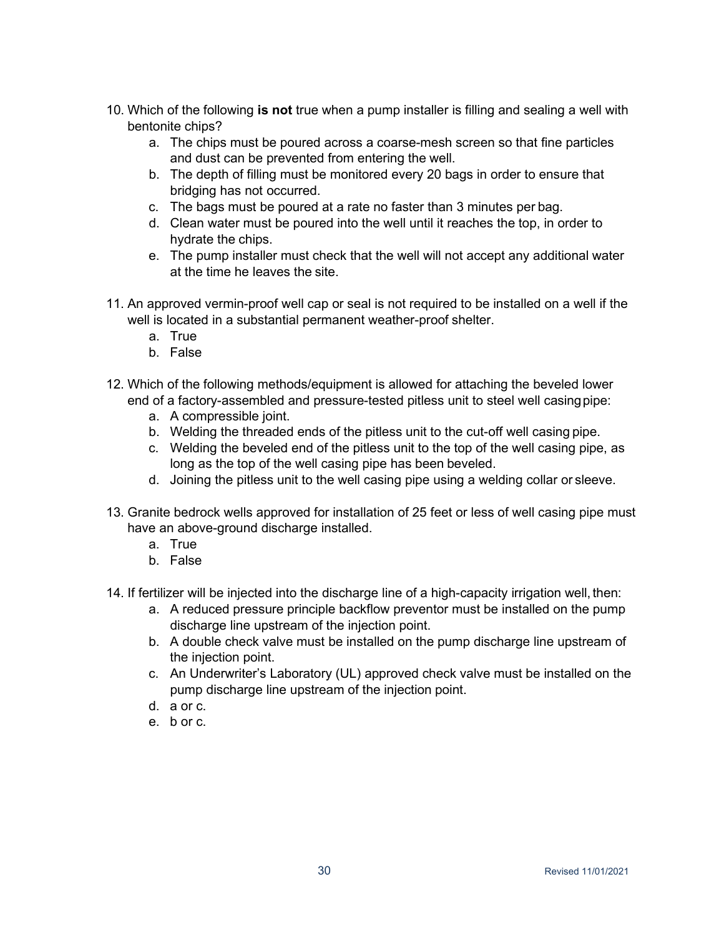- 10. Which of the following **is not** true when a pump installer is filling and sealing a well with bentonite chips?
	- a. The chips must be poured across a coarse-mesh screen so that fine particles and dust can be prevented from entering the well.
	- b. The depth of filling must be monitored every 20 bags in order to ensure that bridging has not occurred.
	- c. The bags must be poured at a rate no faster than 3 minutes per bag.
	- d. Clean water must be poured into the well until it reaches the top, in order to hydrate the chips.
	- e. The pump installer must check that the well will not accept any additional water at the time he leaves the site.
- 11. An approved vermin-proof well cap or seal is not required to be installed on a well if the well is located in a substantial permanent weather-proof shelter.
	- a. True
	- b. False
- 12. Which of the following methods/equipment is allowed for attaching the beveled lower end of a factory-assembled and pressure-tested pitless unit to steel well casingpipe:
	- a. A compressible joint.
	- b. Welding the threaded ends of the pitless unit to the cut-off well casing pipe.
	- c. Welding the beveled end of the pitless unit to the top of the well casing pipe, as long as the top of the well casing pipe has been beveled.
	- d. Joining the pitless unit to the well casing pipe using a welding collar or sleeve.
- 13. Granite bedrock wells approved for installation of 25 feet or less of well casing pipe must have an above-ground discharge installed.
	- a. True
	- b. False
- 14. If fertilizer will be injected into the discharge line of a high-capacity irrigation well, then:
	- a. A reduced pressure principle backflow preventor must be installed on the pump discharge line upstream of the injection point.
	- b. A double check valve must be installed on the pump discharge line upstream of the injection point.
	- c. An Underwriter's Laboratory (UL) approved check valve must be installed on the pump discharge line upstream of the injection point.
	- d. a or c.
	- e. b or c.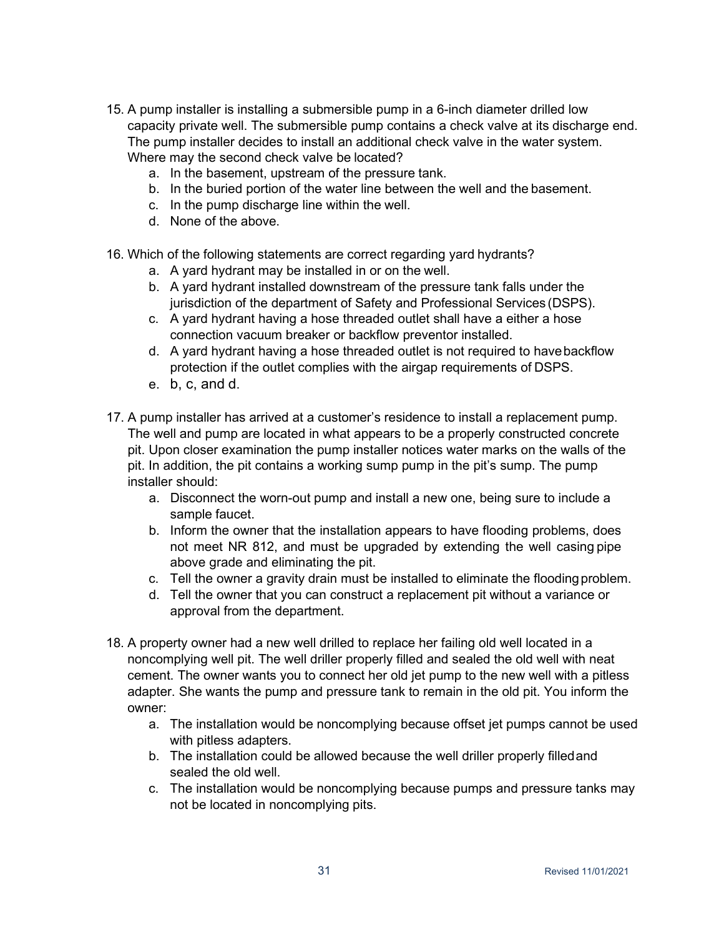- 15. A pump installer is installing a submersible pump in a 6-inch diameter drilled low capacity private well. The submersible pump contains a check valve at its discharge end. The pump installer decides to install an additional check valve in the water system. Where may the second check valve be located?
	- a. In the basement, upstream of the pressure tank.
	- b. In the buried portion of the water line between the well and the basement.
	- c. In the pump discharge line within the well.
	- d. None of the above.
- 16. Which of the following statements are correct regarding yard hydrants?
	- a. A yard hydrant may be installed in or on the well.
	- b. A yard hydrant installed downstream of the pressure tank falls under the jurisdiction of the department of Safety and Professional Services (DSPS).
	- c. A yard hydrant having a hose threaded outlet shall have a either a hose connection vacuum breaker or backflow preventor installed.
	- d. A yard hydrant having a hose threaded outlet is not required to havebackflow protection if the outlet complies with the airgap requirements of DSPS.
	- e. b, c, and d.
- 17. A pump installer has arrived at a customer's residence to install a replacement pump. The well and pump are located in what appears to be a properly constructed concrete pit. Upon closer examination the pump installer notices water marks on the walls of the pit. In addition, the pit contains a working sump pump in the pit's sump. The pump installer should:
	- a. Disconnect the worn-out pump and install a new one, being sure to include a sample faucet.
	- b. Inform the owner that the installation appears to have flooding problems, does not meet NR 812, and must be upgraded by extending the well casing pipe above grade and eliminating the pit.
	- c. Tell the owner a gravity drain must be installed to eliminate the floodingproblem.
	- d. Tell the owner that you can construct a replacement pit without a variance or approval from the department.
- 18. A property owner had a new well drilled to replace her failing old well located in a noncomplying well pit. The well driller properly filled and sealed the old well with neat cement. The owner wants you to connect her old jet pump to the new well with a pitless adapter. She wants the pump and pressure tank to remain in the old pit. You inform the owner:
	- a. The installation would be noncomplying because offset jet pumps cannot be used with pitless adapters.
	- b. The installation could be allowed because the well driller properly filledand sealed the old well.
	- c. The installation would be noncomplying because pumps and pressure tanks may not be located in noncomplying pits.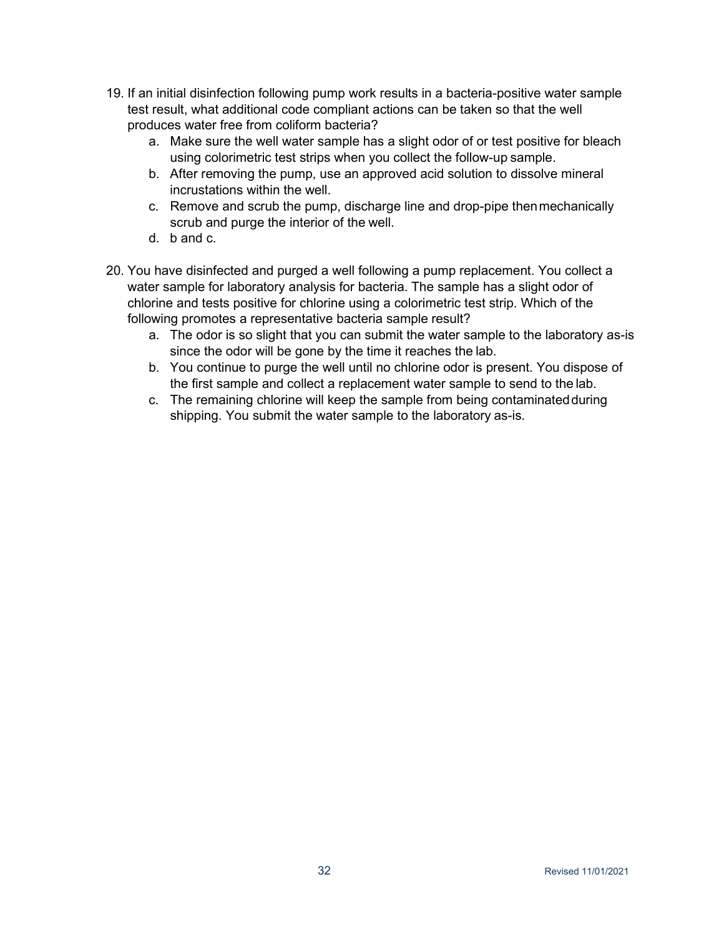- 19. If an initial disinfection following pump work results in a bacteria-positive water sample test result, what additional code compliant actions can be taken so that the well produces water free from coliform bacteria?
	- a. Make sure the well water sample has a slight odor of or test positive for bleach using colorimetric test strips when you collect the follow-up sample.
	- b. After removing the pump, use an approved acid solution to dissolve mineral incrustations within the well.
	- c. Remove and scrub the pump, discharge line and drop-pipe thenmechanically scrub and purge the interior of the well.
	- d. b and c.
- 20. You have disinfected and purged a well following a pump replacement. You collect a water sample for laboratory analysis for bacteria. The sample has a slight odor of chlorine and tests positive for chlorine using a colorimetric test strip. Which of the following promotes a representative bacteria sample result?
	- a. The odor is so slight that you can submit the water sample to the laboratory as-is since the odor will be gone by the time it reaches the lab.
	- b. You continue to purge the well until no chlorine odor is present. You dispose of the first sample and collect a replacement water sample to send to the lab.
	- c. The remaining chlorine will keep the sample from being contaminatedduring shipping. You submit the water sample to the laboratory as-is.